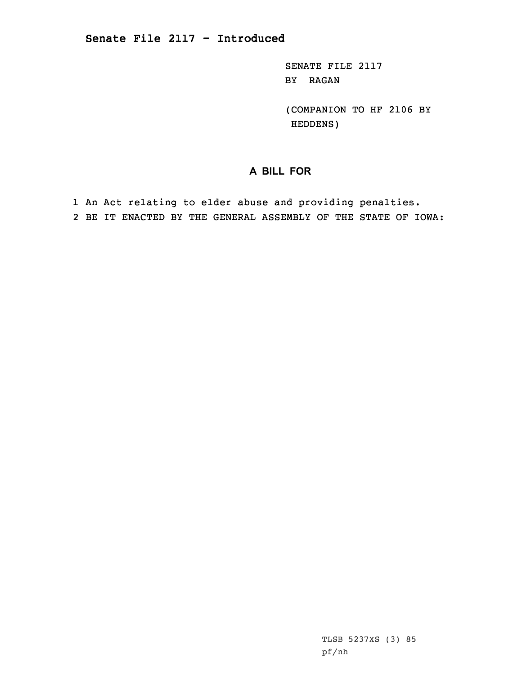SENATE FILE 2117 BY RAGAN

(COMPANION TO HF 2106 BY HEDDENS)

# **A BILL FOR**

1 An Act relating to elder abuse and providing penalties. 2 BE IT ENACTED BY THE GENERAL ASSEMBLY OF THE STATE OF IOWA: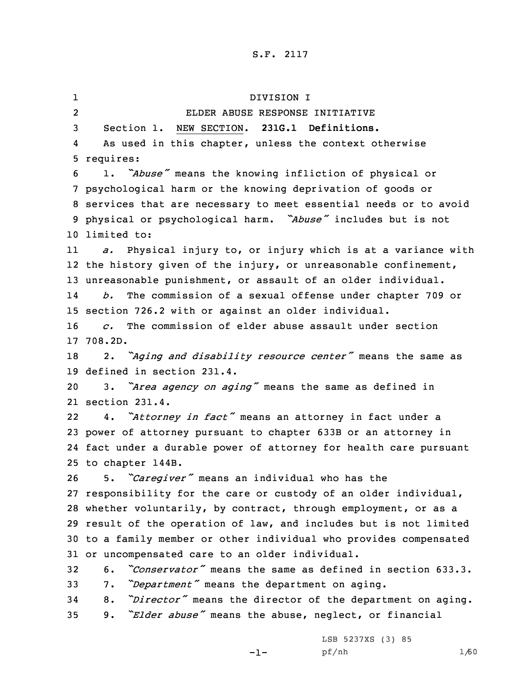1 DIVISION I 2 ELDER ABUSE RESPONSE INITIATIVE Section 1. NEW SECTION. **231G.1 Definitions.** 4 As used in this chapter, unless the context otherwise requires: 1. *"Abuse"* means the knowing infliction of physical or psychological harm or the knowing deprivation of goods or services that are necessary to meet essential needs or to avoid physical or psychological harm. *"Abuse"* includes but is not limited to: 11 *a.* Physical injury to, or injury which is at <sup>a</sup> variance with 12 the history given of the injury, or unreasonable confinement, unreasonable punishment, or assault of an older individual. 14 *b.* The commission of <sup>a</sup> sexual offense under chapter 709 or section 726.2 with or against an older individual. *c.* The commission of elder abuse assault under section 17 708.2D. 2. *"Aging and disability resource center"* means the same as defined in section 231.4. 3. *"Area agency on aging"* means the same as defined in section 231.4. 22 4. *"Attorney in fact"* means an attorney in fact under <sup>a</sup> power of attorney pursuant to chapter 633B or an attorney in fact under <sup>a</sup> durable power of attorney for health care pursuant to chapter 144B. 5. *"Caregiver"* means an individual who has the responsibility for the care or custody of an older individual, whether voluntarily, by contract, through employment, or as <sup>a</sup> result of the operation of law, and includes but is not limited to <sup>a</sup> family member or other individual who provides compensated or uncompensated care to an older individual. 6. *"Conservator"* means the same as defined in section 633.3. 7. *"Department"* means the department on aging. 8. *"Director"* means the director of the department on aging. 9. *"Elder abuse"* means the abuse, neglect, or financial

-1-

LSB 5237XS (3) 85 pf/nh 1/60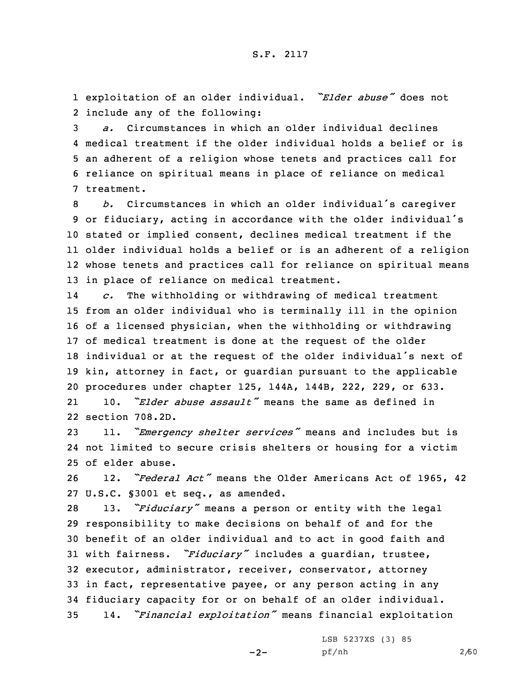1 exploitation of an older individual. *"Elder abuse"* does not 2 include any of the following:

 *a.* Circumstances in which an older individual declines medical treatment if the older individual holds <sup>a</sup> belief or is an adherent of <sup>a</sup> religion whose tenets and practices call for reliance on spiritual means in place of reliance on medical treatment.

 *b.* Circumstances in which an older individual's caregiver or fiduciary, acting in accordance with the older individual's stated or implied consent, declines medical treatment if the older individual holds <sup>a</sup> belief or is an adherent of <sup>a</sup> religion whose tenets and practices call for reliance on spiritual means in place of reliance on medical treatment.

14 *c.* The withholding or withdrawing of medical treatment from an older individual who is terminally ill in the opinion of <sup>a</sup> licensed physician, when the withholding or withdrawing of medical treatment is done at the request of the older individual or at the request of the older individual's next of kin, attorney in fact, or guardian pursuant to the applicable procedures under chapter 125, 144A, 144B, 222, 229, or 633. 21 10. *"Elder abuse assault"* means the same as defined in section 708.2D.

<sup>23</sup> 11. *"Emergency shelter services"* means and includes but is 24 not limited to secure crisis shelters or housing for <sup>a</sup> victim 25 of elder abuse.

26 12. *"Federal Act"* means the Older Americans Act of 1965, 42 27 U.S.C. §3001 et seq., as amended.

 13. *"Fiduciary"* means <sup>a</sup> person or entity with the legal responsibility to make decisions on behalf of and for the benefit of an older individual and to act in good faith and with fairness. *"Fiduciary"* includes <sup>a</sup> guardian, trustee, executor, administrator, receiver, conservator, attorney in fact, representative payee, or any person acting in any fiduciary capacity for or on behalf of an older individual. 14. *"Financial exploitation"* means financial exploitation

 $-2-$ 

LSB 5237XS (3) 85 pf/nh 2/60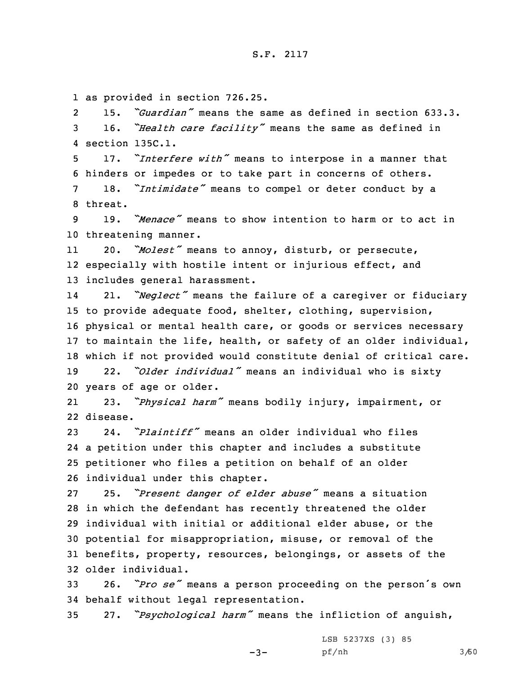1 as provided in section 726.25.

2 15. *"Guardian"* means the same as defined in section 633.3. <sup>3</sup> 16. *"Health care facility"* means the same as defined in 4 section 135C.1.

<sup>5</sup> 17. *"Interfere with"* means to interpose in <sup>a</sup> manner that 6 hinders or impedes or to take part in concerns of others.

<sup>7</sup> 18. *"Intimidate"* means to compel or deter conduct by <sup>a</sup> 8 threat.

9 19. *"Menace"* means to show intention to harm or to act in 10 threatening manner.

11 20. *"Molest"* means to annoy, disturb, or persecute, 12 especially with hostile intent or injurious effect, and 13 includes general harassment.

14 21. *"Neglect"* means the failure of <sup>a</sup> caregiver or fiduciary to provide adequate food, shelter, clothing, supervision, physical or mental health care, or goods or services necessary to maintain the life, health, or safety of an older individual, which if not provided would constitute denial of critical care. 22. *"Older individual"* means an individual who is sixty years of age or older.

21 23. *"Physical harm"* means bodily injury, impairment, or 22 disease.

 24. *"Plaintiff"* means an older individual who files <sup>a</sup> petition under this chapter and includes <sup>a</sup> substitute petitioner who files <sup>a</sup> petition on behalf of an older individual under this chapter.

 25. *"Present danger of elder abuse"* means <sup>a</sup> situation in which the defendant has recently threatened the older individual with initial or additional elder abuse, or the potential for misappropriation, misuse, or removal of the benefits, property, resources, belongings, or assets of the older individual.

<sup>33</sup> 26. *"Pro se"* means <sup>a</sup> person proceeding on the person's own 34 behalf without legal representation.

<sup>35</sup> 27. *"Psychological harm"* means the infliction of anguish,

 $-3-$ 

LSB 5237XS (3) 85 pf/nh 3/60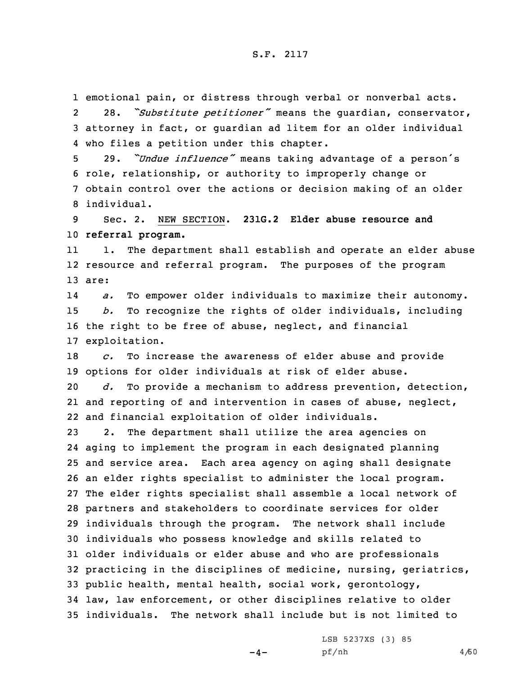1 emotional pain, or distress through verbal or nonverbal acts. 2 28. *"Substitute petitioner"* means the guardian, conservator, 3 attorney in fact, or guardian ad litem for an older individual 4 who files <sup>a</sup> petition under this chapter.

 29. *"Undue influence"* means taking advantage of <sup>a</sup> person's role, relationship, or authority to improperly change or obtain control over the actions or decision making of an older individual.

9 Sec. 2. NEW SECTION. **231G.2 Elder abuse resource and** 10 **referral program.**

11 1. The department shall establish and operate an elder abuse 12 resource and referral program. The purposes of the program 13 are:

14 *a.* To empower older individuals to maximize their autonomy. 15 *b.* To recognize the rights of older individuals, including 16 the right to be free of abuse, neglect, and financial 17 exploitation.

18 *c.* To increase the awareness of elder abuse and provide 19 options for older individuals at risk of elder abuse.

20 *d.* To provide <sup>a</sup> mechanism to address prevention, detection, 21 and reporting of and intervention in cases of abuse, neglect, 22 and financial exploitation of older individuals.

 2. The department shall utilize the area agencies on aging to implement the program in each designated planning and service area. Each area agency on aging shall designate an elder rights specialist to administer the local program. The elder rights specialist shall assemble <sup>a</sup> local network of partners and stakeholders to coordinate services for older individuals through the program. The network shall include individuals who possess knowledge and skills related to older individuals or elder abuse and who are professionals practicing in the disciplines of medicine, nursing, geriatrics, public health, mental health, social work, gerontology, law, law enforcement, or other disciplines relative to older individuals. The network shall include but is not limited to

 $-4-$ 

LSB 5237XS (3) 85 pf/nh 4/60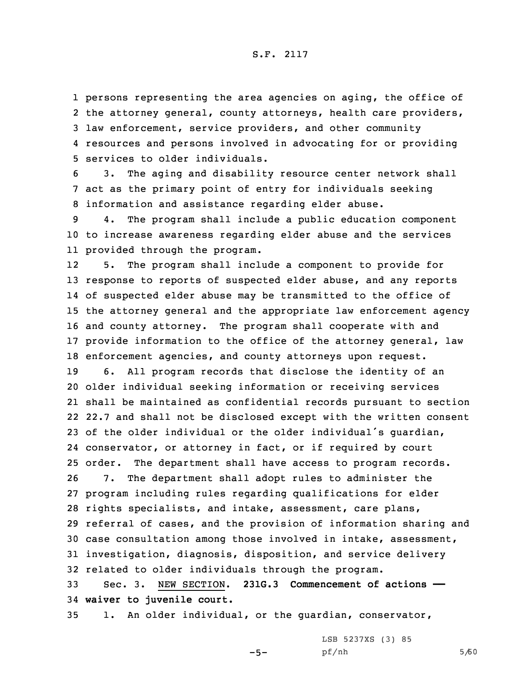persons representing the area agencies on aging, the office of the attorney general, county attorneys, health care providers, law enforcement, service providers, and other community resources and persons involved in advocating for or providing services to older individuals.

6 3. The aging and disability resource center network shall 7 act as the primary point of entry for individuals seeking 8 information and assistance regarding elder abuse.

9 4. The program shall include <sup>a</sup> public education component 10 to increase awareness regarding elder abuse and the services 11 provided through the program.

12 5. The program shall include <sup>a</sup> component to provide for response to reports of suspected elder abuse, and any reports of suspected elder abuse may be transmitted to the office of the attorney general and the appropriate law enforcement agency and county attorney. The program shall cooperate with and provide information to the office of the attorney general, law enforcement agencies, and county attorneys upon request.

 6. All program records that disclose the identity of an older individual seeking information or receiving services shall be maintained as confidential records pursuant to section 22.7 and shall not be disclosed except with the written consent of the older individual or the older individual's guardian, conservator, or attorney in fact, or if required by court order. The department shall have access to program records. 7. The department shall adopt rules to administer the program including rules regarding qualifications for elder rights specialists, and intake, assessment, care plans, referral of cases, and the provision of information sharing and case consultation among those involved in intake, assessment, investigation, diagnosis, disposition, and service delivery related to older individuals through the program.

33 Sec. 3. NEW SECTION. **231G.3 Commencement of actions ——** 34 **waiver to juvenile court.**

 $-5-$ 

35 1. An older individual, or the guardian, conservator,

LSB 5237XS (3) 85 pf/nh 5/60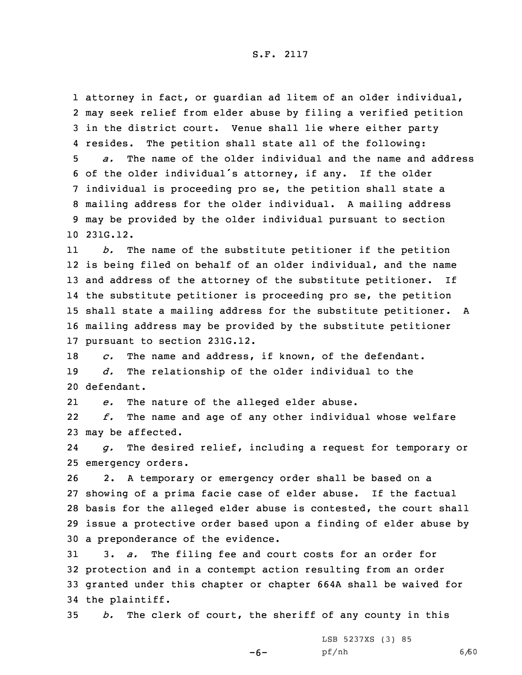attorney in fact, or guardian ad litem of an older individual, may seek relief from elder abuse by filing <sup>a</sup> verified petition in the district court. Venue shall lie where either party 4 resides. The petition shall state all of the following: *a.* The name of the older individual and the name and address of the older individual's attorney, if any. If the older individual is proceeding pro se, the petition shall state <sup>a</sup> mailing address for the older individual. <sup>A</sup> mailing address may be provided by the older individual pursuant to section 10 231G.12.

11 *b.* The name of the substitute petitioner if the petition is being filed on behalf of an older individual, and the name and address of the attorney of the substitute petitioner. If the substitute petitioner is proceeding pro se, the petition shall state <sup>a</sup> mailing address for the substitute petitioner. <sup>A</sup> mailing address may be provided by the substitute petitioner pursuant to section 231G.12.

18 *c.* The name and address, if known, of the defendant. 19 *d.* The relationship of the older individual to the 20 defendant.

21*e.* The nature of the alleged elder abuse.

22 *f.* The name and age of any other individual whose welfare 23 may be affected.

24 *g.* The desired relief, including <sup>a</sup> request for temporary or 25 emergency orders.

 2. <sup>A</sup> temporary or emergency order shall be based on <sup>a</sup> showing of <sup>a</sup> prima facie case of elder abuse. If the factual basis for the alleged elder abuse is contested, the court shall issue <sup>a</sup> protective order based upon <sup>a</sup> finding of elder abuse by <sup>a</sup> preponderance of the evidence.

 3. *a.* The filing fee and court costs for an order for protection and in <sup>a</sup> contempt action resulting from an order granted under this chapter or chapter 664A shall be waived for the plaintiff.

35 *b.* The clerk of court, the sheriff of any county in this

-6-

LSB 5237XS (3) 85 pf/nh 6/60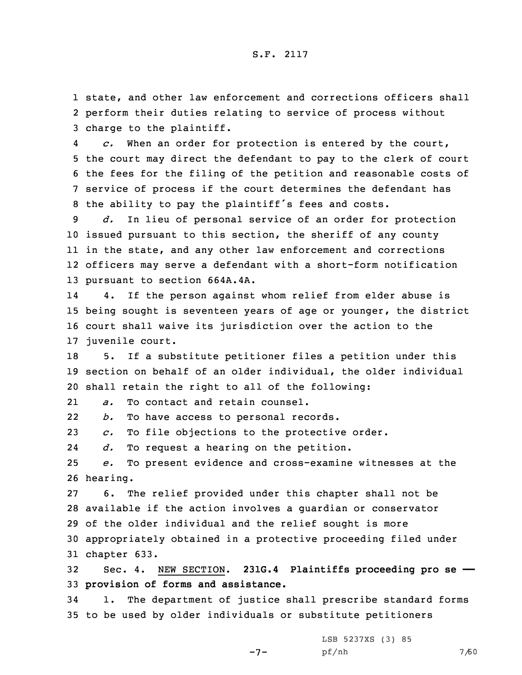1 state, and other law enforcement and corrections officers shall 2 perform their duties relating to service of process without 3 charge to the plaintiff.

4 *c.* When an order for protection is entered by the court, the court may direct the defendant to pay to the clerk of court the fees for the filing of the petition and reasonable costs of service of process if the court determines the defendant has the ability to pay the plaintiff's fees and costs.

 *d.* In lieu of personal service of an order for protection issued pursuant to this section, the sheriff of any county in the state, and any other law enforcement and corrections officers may serve <sup>a</sup> defendant with <sup>a</sup> short-form notification pursuant to section 664A.4A.

14 4. If the person against whom relief from elder abuse is 15 being sought is seventeen years of age or younger, the district 16 court shall waive its jurisdiction over the action to the 17 juvenile court.

18 5. If <sup>a</sup> substitute petitioner files <sup>a</sup> petition under this 19 section on behalf of an older individual, the older individual 20 shall retain the right to all of the following:

21*a.* To contact and retain counsel.

22*b.* To have access to personal records.

23 *c.* To file objections to the protective order.

24*d.* To request <sup>a</sup> hearing on the petition.

25 *e.* To present evidence and cross-examine witnesses at the 26 hearing.

 6. The relief provided under this chapter shall not be available if the action involves <sup>a</sup> guardian or conservator of the older individual and the relief sought is more appropriately obtained in <sup>a</sup> protective proceeding filed under chapter 633.

32 Sec. 4. NEW SECTION. **231G.4 Plaintiffs proceeding pro se ——** 33 **provision of forms and assistance.**

34 1. The department of justice shall prescribe standard forms 35 to be used by older individuals or substitute petitioners

 $-7-$ 

LSB 5237XS (3) 85 pf/nh 7/60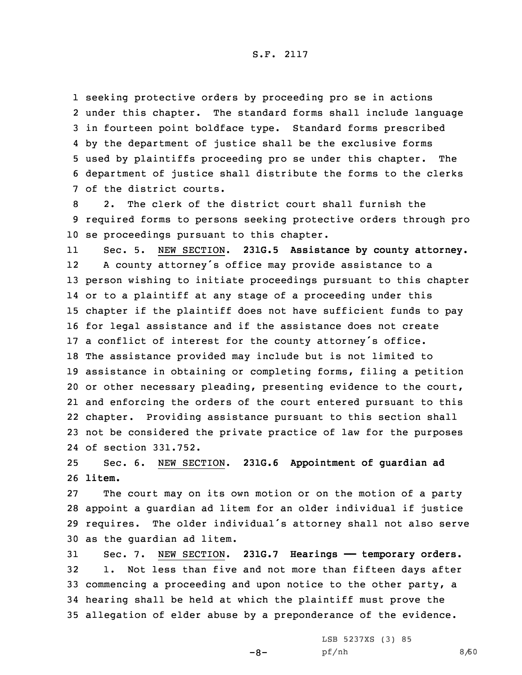seeking protective orders by proceeding pro se in actions under this chapter. The standard forms shall include language in fourteen point boldface type. Standard forms prescribed by the department of justice shall be the exclusive forms used by plaintiffs proceeding pro se under this chapter. The department of justice shall distribute the forms to the clerks of the district courts.

8 2. The clerk of the district court shall furnish the 9 required forms to persons seeking protective orders through pro 10 se proceedings pursuant to this chapter.

11 Sec. 5. NEW SECTION. **231G.5 Assistance by county attorney.** 12 <sup>A</sup> county attorney's office may provide assistance to <sup>a</sup> person wishing to initiate proceedings pursuant to this chapter or to <sup>a</sup> plaintiff at any stage of <sup>a</sup> proceeding under this chapter if the plaintiff does not have sufficient funds to pay for legal assistance and if the assistance does not create <sup>a</sup> conflict of interest for the county attorney's office. The assistance provided may include but is not limited to assistance in obtaining or completing forms, filing <sup>a</sup> petition or other necessary pleading, presenting evidence to the court, and enforcing the orders of the court entered pursuant to this chapter. Providing assistance pursuant to this section shall not be considered the private practice of law for the purposes of section 331.752.

25 Sec. 6. NEW SECTION. **231G.6 Appointment of guardian ad** 26 **litem.**

 The court may on its own motion or on the motion of <sup>a</sup> party appoint <sup>a</sup> guardian ad litem for an older individual if justice requires. The older individual's attorney shall not also serve as the guardian ad litem.

 Sec. 7. NEW SECTION. **231G.7 Hearings —— temporary orders.** 1. Not less than five and not more than fifteen days after commencing <sup>a</sup> proceeding and upon notice to the other party, <sup>a</sup> hearing shall be held at which the plaintiff must prove the allegation of elder abuse by <sup>a</sup> preponderance of the evidence.

 $-8-$ 

LSB 5237XS (3) 85 pf/nh 8/60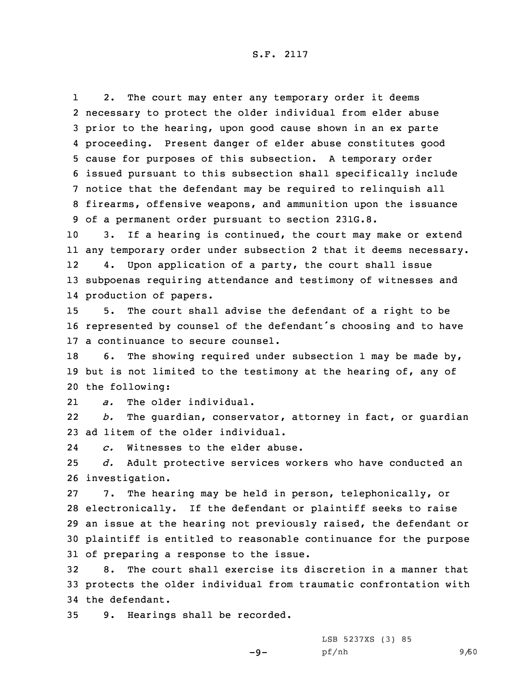1 2. The court may enter any temporary order it deems necessary to protect the older individual from elder abuse prior to the hearing, upon good cause shown in an ex parte proceeding. Present danger of elder abuse constitutes good cause for purposes of this subsection. <sup>A</sup> temporary order issued pursuant to this subsection shall specifically include notice that the defendant may be required to relinquish all firearms, offensive weapons, and ammunition upon the issuance of <sup>a</sup> permanent order pursuant to section 231G.8.

 3. If <sup>a</sup> hearing is continued, the court may make or extend any temporary order under subsection 2 that it deems necessary. 12 4. Upon application of <sup>a</sup> party, the court shall issue subpoenas requiring attendance and testimony of witnesses and production of papers.

15 5. The court shall advise the defendant of <sup>a</sup> right to be <sup>16</sup> represented by counsel of the defendant's choosing and to have 17 <sup>a</sup> continuance to secure counsel.

18 6. The showing required under subsection 1 may be made by, 19 but is not limited to the testimony at the hearing of, any of 20 the following:

21*a.* The older individual.

22 *b.* The guardian, conservator, attorney in fact, or guardian 23 ad litem of the older individual.

24*c.* Witnesses to the elder abuse.

25 *d.* Adult protective services workers who have conducted an 26 investigation.

 7. The hearing may be held in person, telephonically, or electronically. If the defendant or plaintiff seeks to raise an issue at the hearing not previously raised, the defendant or plaintiff is entitled to reasonable continuance for the purpose of preparing <sup>a</sup> response to the issue.

32 8. The court shall exercise its discretion in <sup>a</sup> manner that 33 protects the older individual from traumatic confrontation with 34 the defendant.

 $-9-$ 

35 9. Hearings shall be recorded.

LSB 5237XS (3) 85 pf/nh 9/60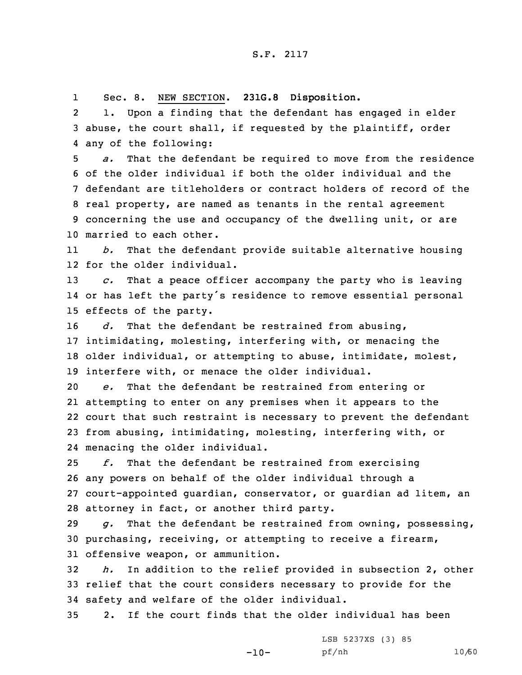1Sec. 8. NEW SECTION. **231G.8 Disposition.**

2 1. Upon <sup>a</sup> finding that the defendant has engaged in elder 3 abuse, the court shall, if requested by the plaintiff, order 4 any of the following:

 *a.* That the defendant be required to move from the residence of the older individual if both the older individual and the defendant are titleholders or contract holders of record of the real property, are named as tenants in the rental agreement concerning the use and occupancy of the dwelling unit, or are married to each other.

11 *b.* That the defendant provide suitable alternative housing 12 for the older individual.

13 *c.* That <sup>a</sup> peace officer accompany the party who is leaving 14 or has left the party's residence to remove essential personal 15 effects of the party.

 *d.* That the defendant be restrained from abusing, intimidating, molesting, interfering with, or menacing the older individual, or attempting to abuse, intimidate, molest, interfere with, or menace the older individual.

 *e.* That the defendant be restrained from entering or attempting to enter on any premises when it appears to the court that such restraint is necessary to prevent the defendant from abusing, intimidating, molesting, interfering with, or menacing the older individual.

 *f.* That the defendant be restrained from exercising any powers on behalf of the older individual through <sup>a</sup> court-appointed guardian, conservator, or guardian ad litem, an attorney in fact, or another third party.

29 *g.* That the defendant be restrained from owning, possessing, 30 purchasing, receiving, or attempting to receive <sup>a</sup> firearm, 31 offensive weapon, or ammunition.

32 *h.* In addition to the relief provided in subsection 2, other 33 relief that the court considers necessary to provide for the 34 safety and welfare of the older individual.

35 2. If the court finds that the older individual has been

 $-10-$ 

LSB 5237XS (3) 85 pf/nh 10/60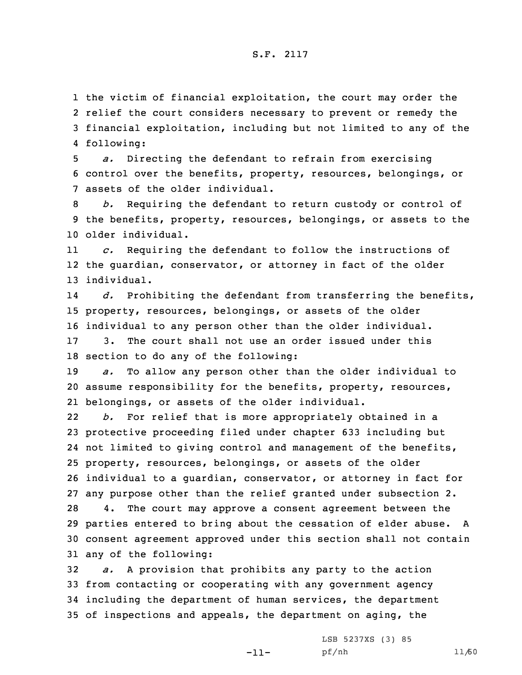the victim of financial exploitation, the court may order the relief the court considers necessary to prevent or remedy the financial exploitation, including but not limited to any of the following:

5 *a.* Directing the defendant to refrain from exercising 6 control over the benefits, property, resources, belongings, or 7 assets of the older individual.

8 *b.* Requiring the defendant to return custody or control of 9 the benefits, property, resources, belongings, or assets to the 10 older individual.

11 *c.* Requiring the defendant to follow the instructions of 12 the guardian, conservator, or attorney in fact of the older 13 individual.

14 *d.* Prohibiting the defendant from transferring the benefits, 15 property, resources, belongings, or assets of the older 16 individual to any person other than the older individual.

17 3. The court shall not use an order issued under this 18 section to do any of the following:

19 *a.* To allow any person other than the older individual to 20 assume responsibility for the benefits, property, resources, 21 belongings, or assets of the older individual.

22 *b.* For relief that is more appropriately obtained in <sup>a</sup> protective proceeding filed under chapter 633 including but not limited to giving control and management of the benefits, property, resources, belongings, or assets of the older individual to <sup>a</sup> guardian, conservator, or attorney in fact for any purpose other than the relief granted under subsection 2. 4. The court may approve <sup>a</sup> consent agreement between the parties entered to bring about the cessation of elder abuse. <sup>A</sup> consent agreement approved under this section shall not contain any of the following:

 *a.* <sup>A</sup> provision that prohibits any party to the action from contacting or cooperating with any government agency including the department of human services, the department of inspections and appeals, the department on aging, the

-11-

LSB 5237XS (3) 85 pf/nh 11/60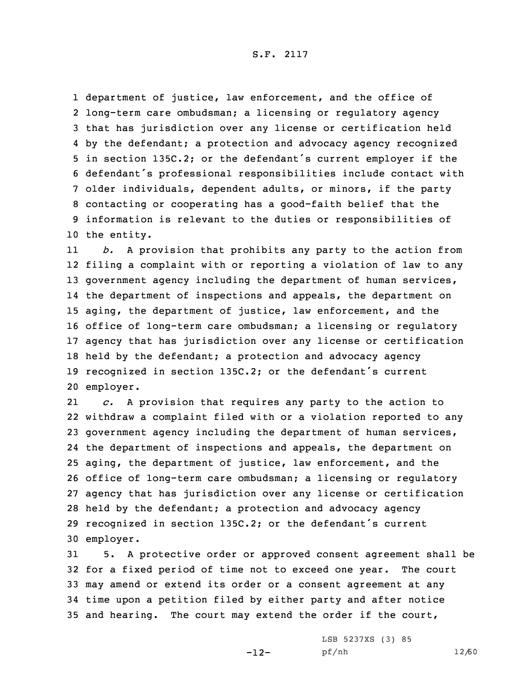department of justice, law enforcement, and the office of long-term care ombudsman; <sup>a</sup> licensing or regulatory agency that has jurisdiction over any license or certification held by the defendant; <sup>a</sup> protection and advocacy agency recognized in section 135C.2; or the defendant's current employer if the defendant's professional responsibilities include contact with older individuals, dependent adults, or minors, if the party contacting or cooperating has <sup>a</sup> good-faith belief that the information is relevant to the duties or responsibilities of the entity.

11 *b.* <sup>A</sup> provision that prohibits any party to the action from filing <sup>a</sup> complaint with or reporting <sup>a</sup> violation of law to any government agency including the department of human services, the department of inspections and appeals, the department on aging, the department of justice, law enforcement, and the office of long-term care ombudsman; <sup>a</sup> licensing or regulatory agency that has jurisdiction over any license or certification held by the defendant; <sup>a</sup> protection and advocacy agency recognized in section 135C.2; or the defendant's current employer.

21 *c.* <sup>A</sup> provision that requires any party to the action to withdraw <sup>a</sup> complaint filed with or <sup>a</sup> violation reported to any government agency including the department of human services, the department of inspections and appeals, the department on aging, the department of justice, law enforcement, and the office of long-term care ombudsman; <sup>a</sup> licensing or regulatory agency that has jurisdiction over any license or certification held by the defendant; <sup>a</sup> protection and advocacy agency recognized in section 135C.2; or the defendant's current employer.

 5. <sup>A</sup> protective order or approved consent agreement shall be for <sup>a</sup> fixed period of time not to exceed one year. The court may amend or extend its order or <sup>a</sup> consent agreement at any time upon <sup>a</sup> petition filed by either party and after notice and hearing. The court may extend the order if the court,

-12-

LSB 5237XS (3) 85 pf/nh 12/60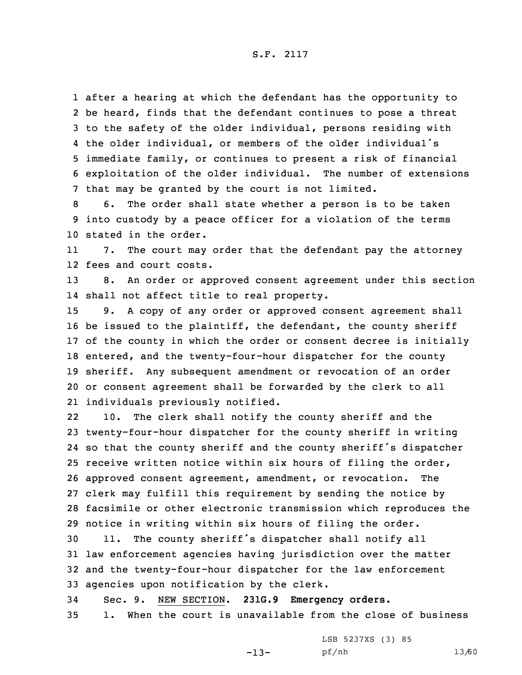after <sup>a</sup> hearing at which the defendant has the opportunity to be heard, finds that the defendant continues to pose <sup>a</sup> threat to the safety of the older individual, persons residing with the older individual, or members of the older individual's immediate family, or continues to present <sup>a</sup> risk of financial exploitation of the older individual. The number of extensions that may be granted by the court is not limited.

8 6. The order shall state whether <sup>a</sup> person is to be taken 9 into custody by <sup>a</sup> peace officer for <sup>a</sup> violation of the terms 10 stated in the order.

11 7. The court may order that the defendant pay the attorney 12 fees and court costs.

13 8. An order or approved consent agreement under this section 14 shall not affect title to real property.

 9. <sup>A</sup> copy of any order or approved consent agreement shall be issued to the plaintiff, the defendant, the county sheriff of the county in which the order or consent decree is initially entered, and the twenty-four-hour dispatcher for the county sheriff. Any subsequent amendment or revocation of an order or consent agreement shall be forwarded by the clerk to all individuals previously notified.

22 10. The clerk shall notify the county sheriff and the twenty-four-hour dispatcher for the county sheriff in writing so that the county sheriff and the county sheriff's dispatcher receive written notice within six hours of filing the order, approved consent agreement, amendment, or revocation. The clerk may fulfill this requirement by sending the notice by facsimile or other electronic transmission which reproduces the notice in writing within six hours of filing the order.

 11. The county sheriff's dispatcher shall notify all law enforcement agencies having jurisdiction over the matter and the twenty-four-hour dispatcher for the law enforcement agencies upon notification by the clerk.

34 Sec. 9. NEW SECTION. **231G.9 Emergency orders.** 35 1. When the court is unavailable from the close of business

-13-

LSB 5237XS (3) 85 pf/nh 13/60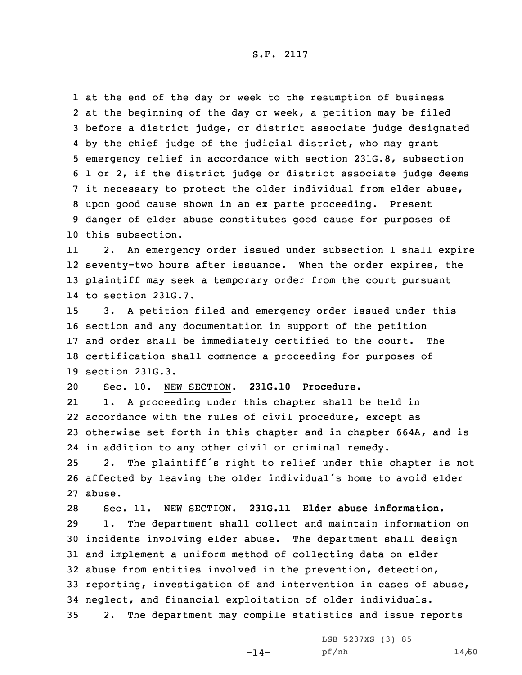at the end of the day or week to the resumption of business at the beginning of the day or week, <sup>a</sup> petition may be filed before <sup>a</sup> district judge, or district associate judge designated by the chief judge of the judicial district, who may grant emergency relief in accordance with section 231G.8, subsection 1 or 2, if the district judge or district associate judge deems it necessary to protect the older individual from elder abuse, upon good cause shown in an ex parte proceeding. Present danger of elder abuse constitutes good cause for purposes of this subsection.

11 2. An emergency order issued under subsection 1 shall expire 12 seventy-two hours after issuance. When the order expires, the 13 plaintiff may seek <sup>a</sup> temporary order from the court pursuant 14 to section 231G.7.

 3. <sup>A</sup> petition filed and emergency order issued under this section and any documentation in support of the petition and order shall be immediately certified to the court. The certification shall commence <sup>a</sup> proceeding for purposes of section 231G.3.

20 Sec. 10. NEW SECTION. **231G.10 Procedure.**

21 1. <sup>A</sup> proceeding under this chapter shall be held in 22 accordance with the rules of civil procedure, except as 23 otherwise set forth in this chapter and in chapter 664A, and is 24 in addition to any other civil or criminal remedy.

<sup>25</sup> 2. The plaintiff's right to relief under this chapter is not <sup>26</sup> affected by leaving the older individual's home to avoid elder 27 abuse.

 Sec. 11. NEW SECTION. **231G.11 Elder abuse information.** 1. The department shall collect and maintain information on incidents involving elder abuse. The department shall design and implement <sup>a</sup> uniform method of collecting data on elder abuse from entities involved in the prevention, detection, reporting, investigation of and intervention in cases of abuse, neglect, and financial exploitation of older individuals. 2. The department may compile statistics and issue reports

 $-14-$ 

LSB 5237XS (3) 85 pf/nh 14/60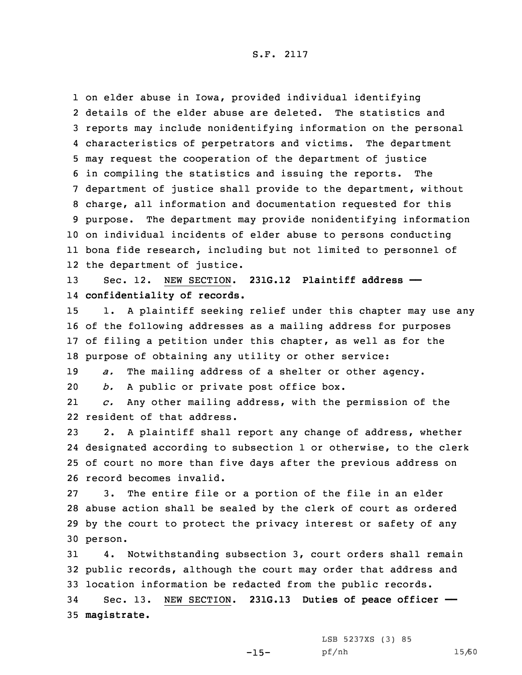on elder abuse in Iowa, provided individual identifying details of the elder abuse are deleted. The statistics and reports may include nonidentifying information on the personal characteristics of perpetrators and victims. The department may request the cooperation of the department of justice in compiling the statistics and issuing the reports. The department of justice shall provide to the department, without charge, all information and documentation requested for this purpose. The department may provide nonidentifying information on individual incidents of elder abuse to persons conducting bona fide research, including but not limited to personnel of the department of justice.

13 Sec. 12. NEW SECTION. **231G.12 Plaintiff address ——** 14 **confidentiality of records.**

15 1. A plaintiff seeking relief under this chapter may use any of the following addresses as <sup>a</sup> mailing address for purposes of filing <sup>a</sup> petition under this chapter, as well as for the purpose of obtaining any utility or other service:

19 *a.* The mailing address of <sup>a</sup> shelter or other agency.

20 *b.* <sup>A</sup> public or private post office box.

21 *c.* Any other mailing address, with the permission of the 22 resident of that address.

 2. <sup>A</sup> plaintiff shall report any change of address, whether designated according to subsection 1 or otherwise, to the clerk of court no more than five days after the previous address on record becomes invalid.

 3. The entire file or <sup>a</sup> portion of the file in an elder abuse action shall be sealed by the clerk of court as ordered by the court to protect the privacy interest or safety of any 30 person.

31 4. Notwithstanding subsection 3, court orders shall remain 32 public records, although the court may order that address and 33 location information be redacted from the public records.

34 Sec. 13. NEW SECTION. **231G.13 Duties of peace officer ——** 35 **magistrate.**

 $-15-$ 

LSB 5237XS (3) 85 pf/nh 15/60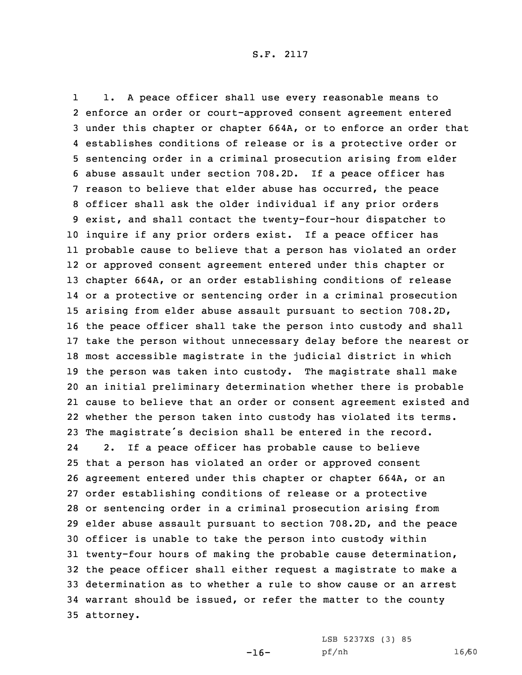1 1. <sup>A</sup> peace officer shall use every reasonable means to enforce an order or court-approved consent agreement entered under this chapter or chapter 664A, or to enforce an order that establishes conditions of release or is <sup>a</sup> protective order or sentencing order in <sup>a</sup> criminal prosecution arising from elder abuse assault under section 708.2D. If <sup>a</sup> peace officer has reason to believe that elder abuse has occurred, the peace officer shall ask the older individual if any prior orders exist, and shall contact the twenty-four-hour dispatcher to inquire if any prior orders exist. If <sup>a</sup> peace officer has probable cause to believe that <sup>a</sup> person has violated an order or approved consent agreement entered under this chapter or chapter 664A, or an order establishing conditions of release or <sup>a</sup> protective or sentencing order in <sup>a</sup> criminal prosecution arising from elder abuse assault pursuant to section 708.2D, the peace officer shall take the person into custody and shall take the person without unnecessary delay before the nearest or most accessible magistrate in the judicial district in which the person was taken into custody. The magistrate shall make an initial preliminary determination whether there is probable cause to believe that an order or consent agreement existed and whether the person taken into custody has violated its terms. The magistrate's decision shall be entered in the record. 24 2. If <sup>a</sup> peace officer has probable cause to believe that <sup>a</sup> person has violated an order or approved consent agreement entered under this chapter or chapter 664A, or an order establishing conditions of release or <sup>a</sup> protective or sentencing order in <sup>a</sup> criminal prosecution arising from elder abuse assault pursuant to section 708.2D, and the peace officer is unable to take the person into custody within twenty-four hours of making the probable cause determination, the peace officer shall either request <sup>a</sup> magistrate to make <sup>a</sup> determination as to whether <sup>a</sup> rule to show cause or an arrest warrant should be issued, or refer the matter to the county attorney.

 $-16-$ 

LSB 5237XS (3) 85 pf/nh 16/60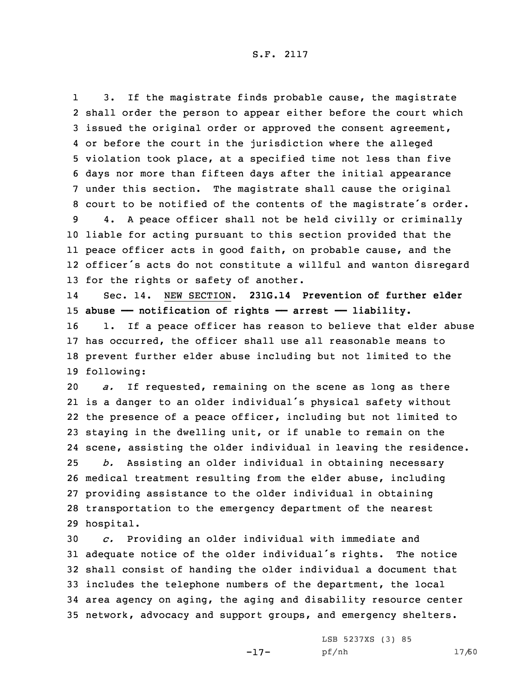1 3. If the magistrate finds probable cause, the magistrate shall order the person to appear either before the court which issued the original order or approved the consent agreement, or before the court in the jurisdiction where the alleged violation took place, at <sup>a</sup> specified time not less than five days nor more than fifteen days after the initial appearance under this section. The magistrate shall cause the original court to be notified of the contents of the magistrate's order. 4. <sup>A</sup> peace officer shall not be held civilly or criminally liable for acting pursuant to this section provided that the

11 peace officer acts in good faith, on probable cause, and the 12 officer's acts do not constitute <sup>a</sup> willful and wanton disregard 13 for the rights or safety of another.

14 Sec. 14. NEW SECTION. **231G.14 Prevention of further elder** 15 **abuse —— notification of rights —— arrest —— liability.** 16 1. If a peace officer has reason to believe that elder abuse 17 has occurred, the officer shall use all reasonable means to 18 prevent further elder abuse including but not limited to the 19 following:

 *a.* If requested, remaining on the scene as long as there is <sup>a</sup> danger to an older individual's physical safety without the presence of <sup>a</sup> peace officer, including but not limited to staying in the dwelling unit, or if unable to remain on the scene, assisting the older individual in leaving the residence. *b.* Assisting an older individual in obtaining necessary medical treatment resulting from the elder abuse, including providing assistance to the older individual in obtaining transportation to the emergency department of the nearest hospital.

 *c.* Providing an older individual with immediate and adequate notice of the older individual's rights. The notice shall consist of handing the older individual <sup>a</sup> document that includes the telephone numbers of the department, the local area agency on aging, the aging and disability resource center network, advocacy and support groups, and emergency shelters.

-17-

LSB 5237XS (3) 85 pf/nh 17/60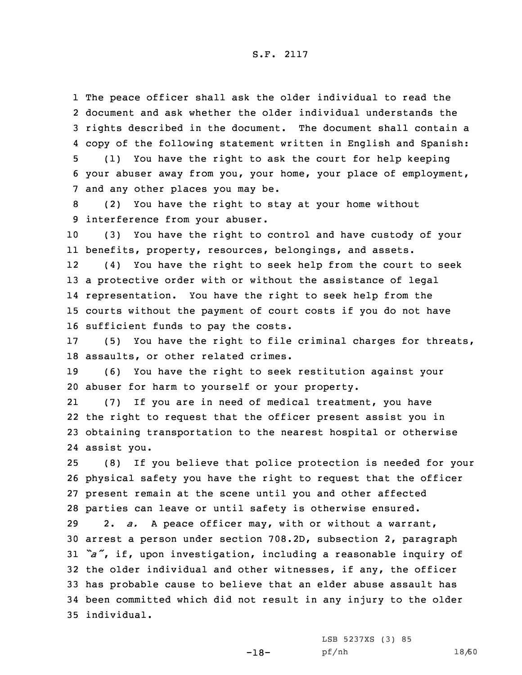The peace officer shall ask the older individual to read the document and ask whether the older individual understands the rights described in the document. The document shall contain <sup>a</sup> copy of the following statement written in English and Spanish: (1) You have the right to ask the court for help keeping your abuser away from you, your home, your place of employment, and any other places you may be.

8 (2) You have the right to stay at your home without 9 interference from your abuser.

10 (3) You have the right to control and have custody of your 11 benefits, property, resources, belongings, and assets.

12 (4) You have the right to seek help from the court to seek <sup>a</sup> protective order with or without the assistance of legal representation. You have the right to seek help from the courts without the payment of court costs if you do not have sufficient funds to pay the costs.

17 (5) You have the right to file criminal charges for threats, 18 assaults, or other related crimes.

19 (6) You have the right to seek restitution against your 20 abuser for harm to yourself or your property.

21 (7) If you are in need of medical treatment, you have 22 the right to request that the officer present assist you in 23 obtaining transportation to the nearest hospital or otherwise 24 assist you.

 (8) If you believe that police protection is needed for your physical safety you have the right to request that the officer present remain at the scene until you and other affected parties can leave or until safety is otherwise ensured.

 2. *a.* <sup>A</sup> peace officer may, with or without <sup>a</sup> warrant, arrest <sup>a</sup> person under section 708.2D, subsection 2, paragraph *"a"*, if, upon investigation, including <sup>a</sup> reasonable inquiry of the older individual and other witnesses, if any, the officer has probable cause to believe that an elder abuse assault has been committed which did not result in any injury to the older individual.

-18-

LSB 5237XS (3) 85 pf/nh 18/60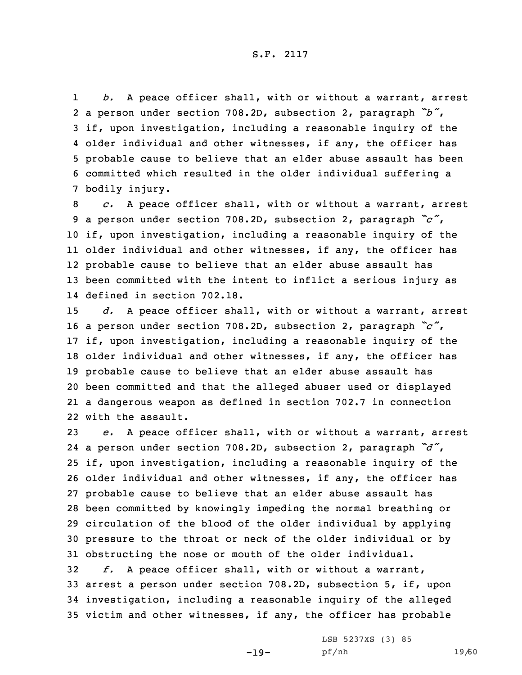1 *b.* <sup>A</sup> peace officer shall, with or without <sup>a</sup> warrant, arrest <sup>a</sup> person under section 708.2D, subsection 2, paragraph *"b"*, if, upon investigation, including <sup>a</sup> reasonable inquiry of the older individual and other witnesses, if any, the officer has probable cause to believe that an elder abuse assault has been committed which resulted in the older individual suffering <sup>a</sup> bodily injury.

 *c.* <sup>A</sup> peace officer shall, with or without <sup>a</sup> warrant, arrest <sup>a</sup> person under section 708.2D, subsection 2, paragraph *"c"*, if, upon investigation, including <sup>a</sup> reasonable inquiry of the older individual and other witnesses, if any, the officer has probable cause to believe that an elder abuse assault has been committed with the intent to inflict <sup>a</sup> serious injury as defined in section 702.18.

 *d.* <sup>A</sup> peace officer shall, with or without <sup>a</sup> warrant, arrest <sup>a</sup> person under section 708.2D, subsection 2, paragraph *"c"*, if, upon investigation, including <sup>a</sup> reasonable inquiry of the older individual and other witnesses, if any, the officer has probable cause to believe that an elder abuse assault has been committed and that the alleged abuser used or displayed <sup>a</sup> dangerous weapon as defined in section 702.7 in connection with the assault.

 *e.* <sup>A</sup> peace officer shall, with or without <sup>a</sup> warrant, arrest <sup>a</sup> person under section 708.2D, subsection 2, paragraph *"d"*, if, upon investigation, including <sup>a</sup> reasonable inquiry of the older individual and other witnesses, if any, the officer has probable cause to believe that an elder abuse assault has been committed by knowingly impeding the normal breathing or circulation of the blood of the older individual by applying pressure to the throat or neck of the older individual or by obstructing the nose or mouth of the older individual.

 *f.* <sup>A</sup> peace officer shall, with or without <sup>a</sup> warrant, arrest <sup>a</sup> person under section 708.2D, subsection 5, if, upon investigation, including <sup>a</sup> reasonable inquiry of the alleged victim and other witnesses, if any, the officer has probable

-19-

LSB 5237XS (3) 85 pf/nh 19/60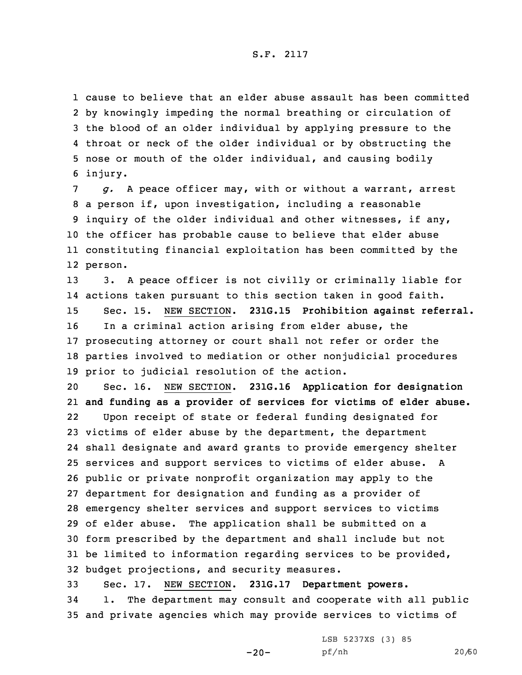cause to believe that an elder abuse assault has been committed by knowingly impeding the normal breathing or circulation of the blood of an older individual by applying pressure to the throat or neck of the older individual or by obstructing the nose or mouth of the older individual, and causing bodily 6 injury.

 *g.* <sup>A</sup> peace officer may, with or without <sup>a</sup> warrant, arrest <sup>a</sup> person if, upon investigation, including <sup>a</sup> reasonable inquiry of the older individual and other witnesses, if any, the officer has probable cause to believe that elder abuse constituting financial exploitation has been committed by the 12 person.

 3. <sup>A</sup> peace officer is not civilly or criminally liable for actions taken pursuant to this section taken in good faith. Sec. 15. NEW SECTION. **231G.15 Prohibition against referral.** In <sup>a</sup> criminal action arising from elder abuse, the prosecuting attorney or court shall not refer or order the parties involved to mediation or other nonjudicial procedures prior to judicial resolution of the action.

 Sec. 16. NEW SECTION. **231G.16 Application for designation and funding as <sup>a</sup> provider of services for victims of elder abuse.** 22 Upon receipt of state or federal funding designated for victims of elder abuse by the department, the department shall designate and award grants to provide emergency shelter services and support services to victims of elder abuse. <sup>A</sup> public or private nonprofit organization may apply to the department for designation and funding as <sup>a</sup> provider of emergency shelter services and support services to victims of elder abuse. The application shall be submitted on <sup>a</sup> form prescribed by the department and shall include but not be limited to information regarding services to be provided, budget projections, and security measures.

33 Sec. 17. NEW SECTION. **231G.17 Department powers.** 34 1. The department may consult and cooperate with all public 35 and private agencies which may provide services to victims of

 $-20-$ 

LSB 5237XS (3) 85 pf/nh 20/60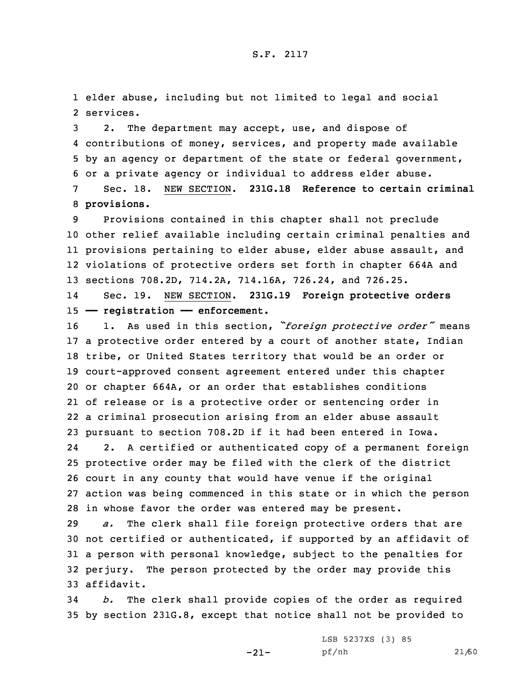1 elder abuse, including but not limited to legal and social 2 services.

 2. The department may accept, use, and dispose of contributions of money, services, and property made available by an agency or department of the state or federal government, or <sup>a</sup> private agency or individual to address elder abuse. Sec. 18. NEW SECTION. **231G.18 Reference to certain criminal provisions.**

 Provisions contained in this chapter shall not preclude other relief available including certain criminal penalties and provisions pertaining to elder abuse, elder abuse assault, and violations of protective orders set forth in chapter 664A and sections 708.2D, 714.2A, 714.16A, 726.24, and 726.25.

14 Sec. 19. NEW SECTION. **231G.19 Foreign protective orders** 15 **—— registration —— enforcement.**

 1. As used in this section, *"foreign protective order"* means <sup>a</sup> protective order entered by <sup>a</sup> court of another state, Indian tribe, or United States territory that would be an order or court-approved consent agreement entered under this chapter or chapter 664A, or an order that establishes conditions of release or is <sup>a</sup> protective order or sentencing order in <sup>a</sup> criminal prosecution arising from an elder abuse assault pursuant to section 708.2D if it had been entered in Iowa. 24 2. <sup>A</sup> certified or authenticated copy of <sup>a</sup> permanent foreign protective order may be filed with the clerk of the district court in any county that would have venue if the original action was being commenced in this state or in which the person in whose favor the order was entered may be present.

 *a.* The clerk shall file foreign protective orders that are not certified or authenticated, if supported by an affidavit of <sup>a</sup> person with personal knowledge, subject to the penalties for perjury. The person protected by the order may provide this affidavit.

34 *b.* The clerk shall provide copies of the order as required 35 by section 231G.8, except that notice shall not be provided to

-21-

LSB 5237XS (3) 85 pf/nh 21/60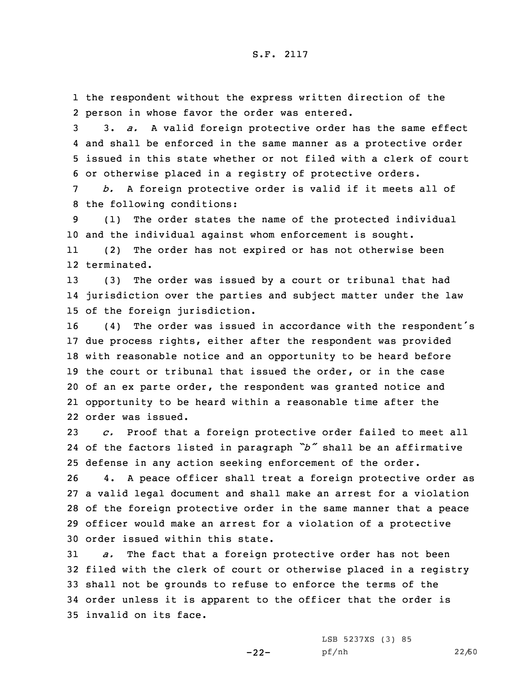1 the respondent without the express written direction of the 2 person in whose favor the order was entered.

 3. *a.* <sup>A</sup> valid foreign protective order has the same effect and shall be enforced in the same manner as <sup>a</sup> protective order issued in this state whether or not filed with <sup>a</sup> clerk of court or otherwise placed in <sup>a</sup> registry of protective orders.

7 *b.* <sup>A</sup> foreign protective order is valid if it meets all of 8 the following conditions:

9 (1) The order states the name of the protected individual 10 and the individual against whom enforcement is sought.

11 (2) The order has not expired or has not otherwise been 12 terminated.

13 (3) The order was issued by <sup>a</sup> court or tribunal that had 14 jurisdiction over the parties and subject matter under the law 15 of the foreign jurisdiction.

 (4) The order was issued in accordance with the respondent's due process rights, either after the respondent was provided with reasonable notice and an opportunity to be heard before the court or tribunal that issued the order, or in the case of an ex parte order, the respondent was granted notice and opportunity to be heard within <sup>a</sup> reasonable time after the order was issued.

23 *c.* Proof that <sup>a</sup> foreign protective order failed to meet all 24 of the factors listed in paragraph *"b"* shall be an affirmative 25 defense in any action seeking enforcement of the order.

 4. <sup>A</sup> peace officer shall treat <sup>a</sup> foreign protective order as <sup>a</sup> valid legal document and shall make an arrest for <sup>a</sup> violation of the foreign protective order in the same manner that <sup>a</sup> peace officer would make an arrest for <sup>a</sup> violation of <sup>a</sup> protective order issued within this state.

 *a.* The fact that <sup>a</sup> foreign protective order has not been filed with the clerk of court or otherwise placed in <sup>a</sup> registry shall not be grounds to refuse to enforce the terms of the order unless it is apparent to the officer that the order is invalid on its face.

 $-22-$ 

LSB 5237XS (3) 85 pf/nh 22/60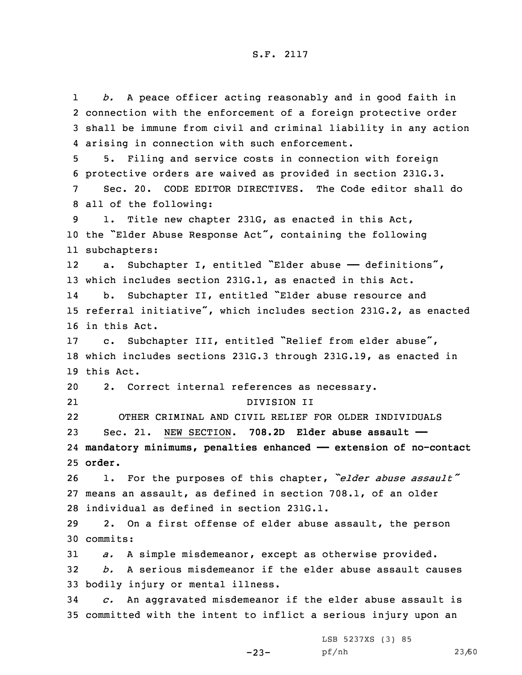1 *b.* <sup>A</sup> peace officer acting reasonably and in good faith in 2 connection with the enforcement of <sup>a</sup> foreign protective order 3 shall be immune from civil and criminal liability in any action 4 arising in connection with such enforcement.

5 5. Filing and service costs in connection with foreign 6 protective orders are waived as provided in section 231G.3.

7 Sec. 20. CODE EDITOR DIRECTIVES. The Code editor shall do 8 all of the following:

9 1. Title new chapter 231G, as enacted in this Act, <sup>10</sup> the "Elder Abuse Response Act", containing the following 11 subchapters:

12a. Subchapter I, entitled "Elder abuse - definitions", 13 which includes section 231G.1, as enacted in this Act.

14 b. Subchapter II, entitled "Elder abuse resource and 15 referral initiative", which includes section 231G.2, as enacted 16 in this Act.

<sup>17</sup> c. Subchapter III, entitled "Relief from elder abuse", 18 which includes sections 231G.3 through 231G.19, as enacted in 19 this Act.

20 2. Correct internal references as necessary.

21

# DIVISION II

22 OTHER CRIMINAL AND CIVIL RELIEF FOR OLDER INDIVIDUALS 23 Sec. 21. NEW SECTION. **708.2D Elder abuse assault ——** 24 **mandatory minimums, penalties enhanced —— extension of no-contact** 25 **order.**

<sup>26</sup> 1. For the purposes of this chapter, *"elder abuse assault"* 27 means an assault, as defined in section 708.1, of an older 28 individual as defined in section 231G.1.

29 2. On <sup>a</sup> first offense of elder abuse assault, the person 30 commits:

31 *a.* <sup>A</sup> simple misdemeanor, except as otherwise provided. 32 *b.* A serious misdemeanor if the elder abuse assault causes 33 bodily injury or mental illness.

34 *c.* An aggravated misdemeanor if the elder abuse assault is 35 committed with the intent to inflict <sup>a</sup> serious injury upon an

-23-

LSB 5237XS (3) 85 pf/nh 23/60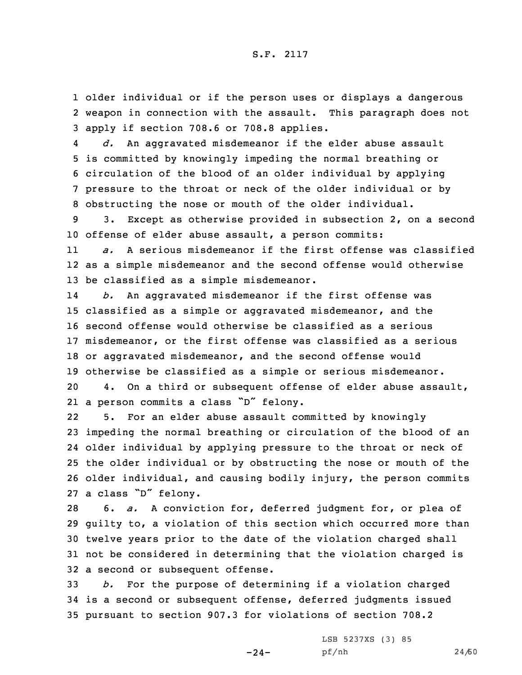1 older individual or if the person uses or displays <sup>a</sup> dangerous 2 weapon in connection with the assault. This paragraph does not 3 apply if section 708.6 or 708.8 applies.

4 *d.* An aggravated misdemeanor if the elder abuse assault is committed by knowingly impeding the normal breathing or circulation of the blood of an older individual by applying pressure to the throat or neck of the older individual or by obstructing the nose or mouth of the older individual.

9 3. Except as otherwise provided in subsection 2, on <sup>a</sup> second 10 offense of elder abuse assault, <sup>a</sup> person commits:

11 *a.* A serious misdemeanor if the first offense was classified 12 as <sup>a</sup> simple misdemeanor and the second offense would otherwise 13 be classified as <sup>a</sup> simple misdemeanor.

14 *b.* An aggravated misdemeanor if the first offense was classified as <sup>a</sup> simple or aggravated misdemeanor, and the second offense would otherwise be classified as <sup>a</sup> serious misdemeanor, or the first offense was classified as <sup>a</sup> serious or aggravated misdemeanor, and the second offense would otherwise be classified as <sup>a</sup> simple or serious misdemeanor. 4. On <sup>a</sup> third or subsequent offense of elder abuse assault,

21 <sup>a</sup> person commits <sup>a</sup> class "D" felony.

22 5. For an elder abuse assault committed by knowingly impeding the normal breathing or circulation of the blood of an older individual by applying pressure to the throat or neck of the older individual or by obstructing the nose or mouth of the older individual, and causing bodily injury, the person commits <sup>a</sup> class "D" felony.

 6. *a.* <sup>A</sup> conviction for, deferred judgment for, or plea of guilty to, <sup>a</sup> violation of this section which occurred more than twelve years prior to the date of the violation charged shall not be considered in determining that the violation charged is <sup>a</sup> second or subsequent offense.

33 *b.* For the purpose of determining if <sup>a</sup> violation charged 34 is <sup>a</sup> second or subsequent offense, deferred judgments issued 35 pursuant to section 907.3 for violations of section 708.2

 $-24-$ 

LSB 5237XS (3) 85 pf/nh 24/60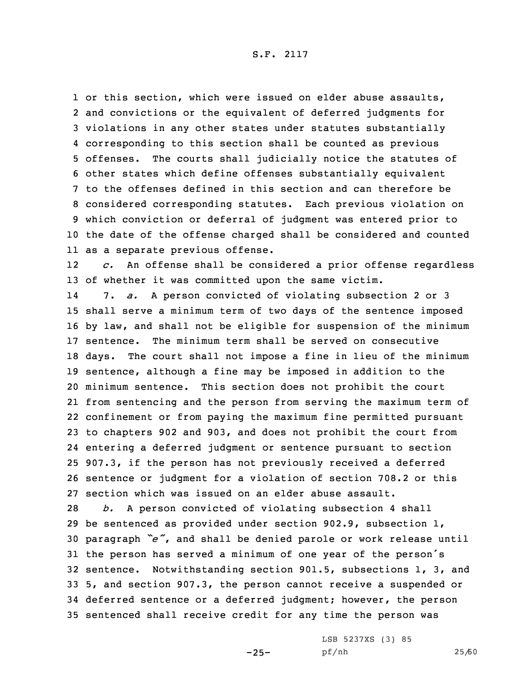1 or this section, which were issued on elder abuse assaults, and convictions or the equivalent of deferred judgments for violations in any other states under statutes substantially corresponding to this section shall be counted as previous offenses. The courts shall judicially notice the statutes of other states which define offenses substantially equivalent to the offenses defined in this section and can therefore be considered corresponding statutes. Each previous violation on which conviction or deferral of judgment was entered prior to the date of the offense charged shall be considered and counted as <sup>a</sup> separate previous offense.

12 *c.* An offense shall be considered <sup>a</sup> prior offense regardless 13 of whether it was committed upon the same victim.

14 7. *a.* <sup>A</sup> person convicted of violating subsection 2 or 3 shall serve <sup>a</sup> minimum term of two days of the sentence imposed by law, and shall not be eligible for suspension of the minimum sentence. The minimum term shall be served on consecutive days. The court shall not impose <sup>a</sup> fine in lieu of the minimum sentence, although <sup>a</sup> fine may be imposed in addition to the minimum sentence. This section does not prohibit the court from sentencing and the person from serving the maximum term of confinement or from paying the maximum fine permitted pursuant to chapters 902 and 903, and does not prohibit the court from entering <sup>a</sup> deferred judgment or sentence pursuant to section 907.3, if the person has not previously received <sup>a</sup> deferred sentence or judgment for <sup>a</sup> violation of section 708.2 or this section which was issued on an elder abuse assault.

 *b.* <sup>A</sup> person convicted of violating subsection 4 shall be sentenced as provided under section 902.9, subsection 1, paragraph *"e"*, and shall be denied parole or work release until the person has served <sup>a</sup> minimum of one year of the person's sentence. Notwithstanding section 901.5, subsections 1, 3, and 5, and section 907.3, the person cannot receive <sup>a</sup> suspended or deferred sentence or <sup>a</sup> deferred judgment; however, the person sentenced shall receive credit for any time the person was

 $-25-$ 

LSB 5237XS (3) 85 pf/nh 25/60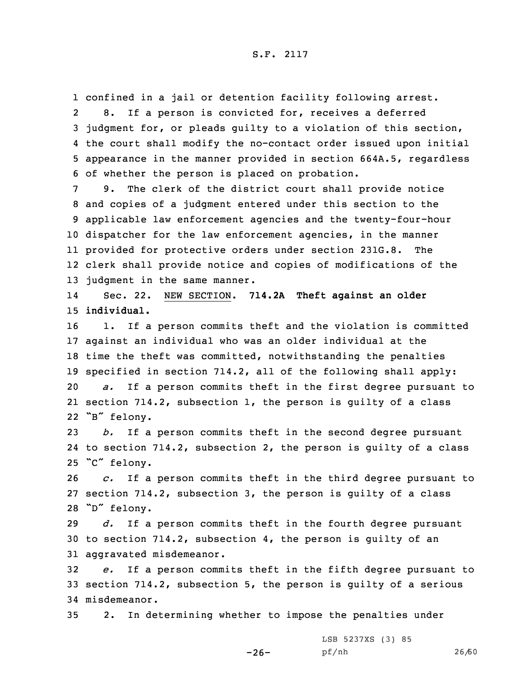confined in <sup>a</sup> jail or detention facility following arrest. 2 8. If <sup>a</sup> person is convicted for, receives <sup>a</sup> deferred judgment for, or pleads guilty to <sup>a</sup> violation of this section, the court shall modify the no-contact order issued upon initial appearance in the manner provided in section 664A.5, regardless of whether the person is placed on probation.

 9. The clerk of the district court shall provide notice and copies of <sup>a</sup> judgment entered under this section to the applicable law enforcement agencies and the twenty-four-hour dispatcher for the law enforcement agencies, in the manner provided for protective orders under section 231G.8. The clerk shall provide notice and copies of modifications of the 13 judgment in the same manner.

14 Sec. 22. NEW SECTION. **714.2A Theft against an older** 15 **individual.**

16 1. If a person commits theft and the violation is committed against an individual who was an older individual at the time the theft was committed, notwithstanding the penalties specified in section 714.2, all of the following shall apply: *a.* If <sup>a</sup> person commits theft in the first degree pursuant to section 714.2, subsection 1, the person is guilty of <sup>a</sup> class "B" felony.

23 *b.* If <sup>a</sup> person commits theft in the second degree pursuant 24 to section 714.2, subsection 2, the person is guilty of <sup>a</sup> class <sup>25</sup> "C" felony.

26 *c.* If <sup>a</sup> person commits theft in the third degree pursuant to 27 section 714.2, subsection 3, the person is guilty of <sup>a</sup> class <sup>28</sup> "D" felony.

29 *d.* If <sup>a</sup> person commits theft in the fourth degree pursuant 30 to section 714.2, subsection 4, the person is guilty of an 31 aggravated misdemeanor.

32 *e.* If <sup>a</sup> person commits theft in the fifth degree pursuant to 33 section 714.2, subsection 5, the person is guilty of <sup>a</sup> serious 34 misdemeanor.

35 2. In determining whether to impose the penalties under

-26-

LSB 5237XS (3) 85 pf/nh 26/60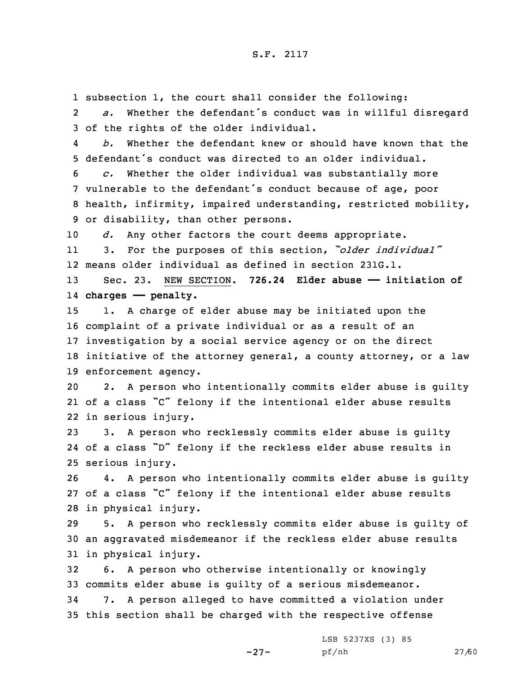1 subsection 1, the court shall consider the following:

2 *a.* Whether the defendant's conduct was in willful disregard 3 of the rights of the older individual.

4 *b.* Whether the defendant knew or should have known that the 5 defendant's conduct was directed to an older individual.

 *c.* Whether the older individual was substantially more vulnerable to the defendant's conduct because of age, poor health, infirmity, impaired understanding, restricted mobility, or disability, than other persons.

10 *d.* Any other factors the court deems appropriate.

11 3. For the purposes of this section, *"older individual"* 12 means older individual as defined in section 231G.1.

13 Sec. 23. NEW SECTION. **726.24 Elder abuse —— initiation of** 14 **charges —— penalty.**

 1. <sup>A</sup> charge of elder abuse may be initiated upon the complaint of <sup>a</sup> private individual or as <sup>a</sup> result of an investigation by <sup>a</sup> social service agency or on the direct initiative of the attorney general, <sup>a</sup> county attorney, or <sup>a</sup> law enforcement agency.

20 2. <sup>A</sup> person who intentionally commits elder abuse is guilty 21 of <sup>a</sup> class "C" felony if the intentional elder abuse results 22 in serious injury.

23 3. <sup>A</sup> person who recklessly commits elder abuse is guilty 24 of <sup>a</sup> class "D" felony if the reckless elder abuse results in 25 serious injury.

26 4. <sup>A</sup> person who intentionally commits elder abuse is guilty 27 of <sup>a</sup> class "C" felony if the intentional elder abuse results 28 in physical injury.

29 5. <sup>A</sup> person who recklessly commits elder abuse is guilty of 30 an aggravated misdemeanor if the reckless elder abuse results 31 in physical injury.

32 6. <sup>A</sup> person who otherwise intentionally or knowingly 33 commits elder abuse is guilty of <sup>a</sup> serious misdemeanor.

34 7. <sup>A</sup> person alleged to have committed <sup>a</sup> violation under 35 this section shall be charged with the respective offense

-27-

LSB 5237XS (3) 85 pf/nh 27/60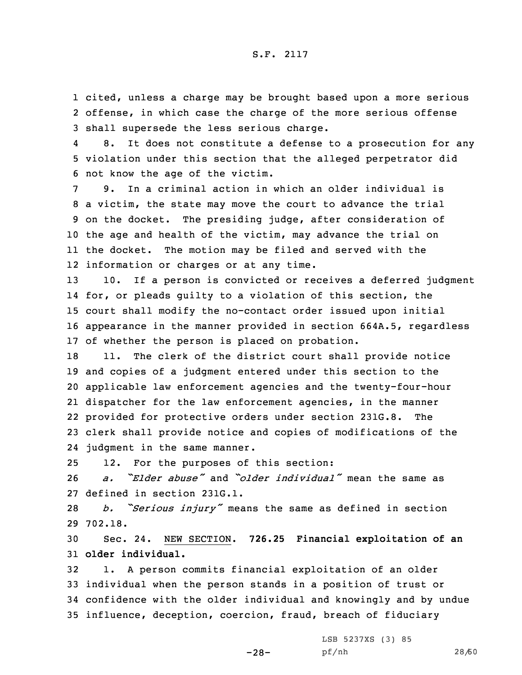1 cited, unless <sup>a</sup> charge may be brought based upon <sup>a</sup> more serious 2 offense, in which case the charge of the more serious offense 3 shall supersede the less serious charge.

4 8. It does not constitute <sup>a</sup> defense to <sup>a</sup> prosecution for any 5 violation under this section that the alleged perpetrator did 6 not know the age of the victim.

 9. In <sup>a</sup> criminal action in which an older individual is <sup>a</sup> victim, the state may move the court to advance the trial on the docket. The presiding judge, after consideration of the age and health of the victim, may advance the trial on 11 the docket. The motion may be filed and served with the information or charges or at any time.

13 10. If a person is convicted or receives a deferred judgment for, or pleads guilty to <sup>a</sup> violation of this section, the court shall modify the no-contact order issued upon initial appearance in the manner provided in section 664A.5, regardless of whether the person is placed on probation.

 11. The clerk of the district court shall provide notice and copies of <sup>a</sup> judgment entered under this section to the applicable law enforcement agencies and the twenty-four-hour dispatcher for the law enforcement agencies, in the manner provided for protective orders under section 231G.8. The clerk shall provide notice and copies of modifications of the judgment in the same manner.

25 12. For the purposes of this section:

26 *a. "Elder abuse"* and *"older individual"* mean the same as 27 defined in section 231G.1.

<sup>28</sup> *b. "Serious injury"* means the same as defined in section 29 702.18.

30 Sec. 24. NEW SECTION. **726.25 Financial exploitation of an** 31 **older individual.**

 1. <sup>A</sup> person commits financial exploitation of an older individual when the person stands in <sup>a</sup> position of trust or confidence with the older individual and knowingly and by undue influence, deception, coercion, fraud, breach of fiduciary

-28-

LSB 5237XS (3) 85 pf/nh 28/60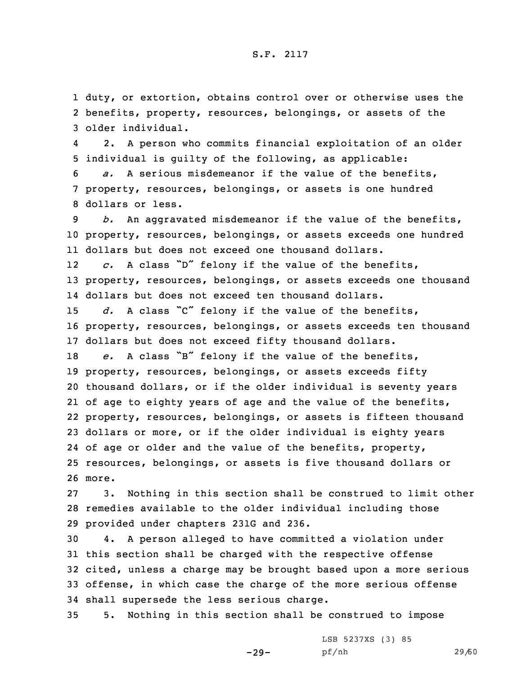1 duty, or extortion, obtains control over or otherwise uses the 2 benefits, property, resources, belongings, or assets of the 3 older individual.

4 2. <sup>A</sup> person who commits financial exploitation of an older 5 individual is guilty of the following, as applicable:

6 *a.* A serious misdemeanor if the value of the benefits, 7 property, resources, belongings, or assets is one hundred 8 dollars or less.

9 *b.* An aggravated misdemeanor if the value of the benefits, 10 property, resources, belongings, or assets exceeds one hundred 11 dollars but does not exceed one thousand dollars.

12 *c.* <sup>A</sup> class "D" felony if the value of the benefits, 13 property, resources, belongings, or assets exceeds one thousand 14 dollars but does not exceed ten thousand dollars.

<sup>15</sup> *d.* <sup>A</sup> class "C" felony if the value of the benefits, 16 property, resources, belongings, or assets exceeds ten thousand 17 dollars but does not exceed fifty thousand dollars.

 *e.* <sup>A</sup> class "B" felony if the value of the benefits, property, resources, belongings, or assets exceeds fifty thousand dollars, or if the older individual is seventy years of age to eighty years of age and the value of the benefits, property, resources, belongings, or assets is fifteen thousand dollars or more, or if the older individual is eighty years 24 of age or older and the value of the benefits, property, resources, belongings, or assets is five thousand dollars or 26 more.

27 3. Nothing in this section shall be construed to limit other 28 remedies available to the older individual including those 29 provided under chapters 231G and 236.

 4. <sup>A</sup> person alleged to have committed <sup>a</sup> violation under this section shall be charged with the respective offense cited, unless <sup>a</sup> charge may be brought based upon <sup>a</sup> more serious offense, in which case the charge of the more serious offense shall supersede the less serious charge.

35 5. Nothing in this section shall be construed to impose

 $-29-$ 

LSB 5237XS (3) 85 pf/nh 29/60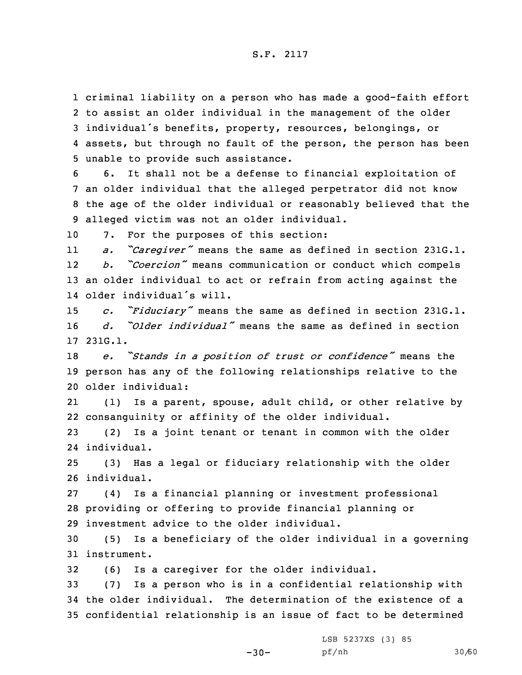criminal liability on <sup>a</sup> person who has made <sup>a</sup> good-faith effort to assist an older individual in the management of the older individual's benefits, property, resources, belongings, or assets, but through no fault of the person, the person has been unable to provide such assistance.

 6. It shall not be <sup>a</sup> defense to financial exploitation of an older individual that the alleged perpetrator did not know the age of the older individual or reasonably believed that the alleged victim was not an older individual.

10 7. For the purposes of this section:

11 *a. "Caregiver"* means the same as defined in section 231G.1. 12 *b. "Coercion"* means communication or conduct which compels 13 an older individual to act or refrain from acting against the 14 older individual's will.

<sup>15</sup> *c. "Fiduciary"* means the same as defined in section 231G.1. 16 *d. "Older individual"* means the same as defined in section 17 231G.1.

<sup>18</sup> *e. "Stands in <sup>a</sup> position of trust or confidence"* means the 19 person has any of the following relationships relative to the 20 older individual:

21 (1) Is <sup>a</sup> parent, spouse, adult child, or other relative by 22 consanguinity or affinity of the older individual.

23 (2) Is <sup>a</sup> joint tenant or tenant in common with the older 24 individual.

25 (3) Has <sup>a</sup> legal or fiduciary relationship with the older 26 individual.

27 (4) Is <sup>a</sup> financial planning or investment professional 28 providing or offering to provide financial planning or 29 investment advice to the older individual.

30 (5) Is <sup>a</sup> beneficiary of the older individual in <sup>a</sup> governing 31 instrument.

32 (6) Is <sup>a</sup> caregiver for the older individual.

33 (7) Is <sup>a</sup> person who is in <sup>a</sup> confidential relationship with 34 the older individual. The determination of the existence of <sup>a</sup> 35 confidential relationship is an issue of fact to be determined

> LSB 5237XS (3) 85 pf/nh 30/60

 $-30-$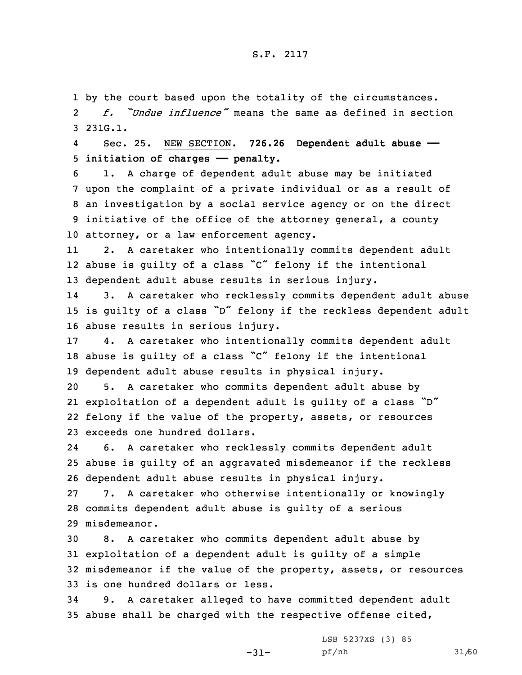1 by the court based upon the totality of the circumstances. 2*f. "Undue influence"* means the same as defined in section

3 231G.1.

4 Sec. 25. NEW SECTION. **726.26 Dependent adult abuse ——** 5 **initiation of charges —— penalty.**

 1. <sup>A</sup> charge of dependent adult abuse may be initiated upon the complaint of <sup>a</sup> private individual or as <sup>a</sup> result of an investigation by <sup>a</sup> social service agency or on the direct initiative of the office of the attorney general, <sup>a</sup> county attorney, or <sup>a</sup> law enforcement agency.

11 2. <sup>A</sup> caretaker who intentionally commits dependent adult 12 abuse is guilty of <sup>a</sup> class "C" felony if the intentional 13 dependent adult abuse results in serious injury.

14 3. <sup>A</sup> caretaker who recklessly commits dependent adult abuse <sup>15</sup> is guilty of <sup>a</sup> class "D" felony if the reckless dependent adult 16 abuse results in serious injury.

17 4. <sup>A</sup> caretaker who intentionally commits dependent adult <sup>18</sup> abuse is guilty of <sup>a</sup> class "C" felony if the intentional 19 dependent adult abuse results in physical injury.

 5. <sup>A</sup> caretaker who commits dependent adult abuse by exploitation of <sup>a</sup> dependent adult is guilty of <sup>a</sup> class "D" felony if the value of the property, assets, or resources exceeds one hundred dollars.

24 6. <sup>A</sup> caretaker who recklessly commits dependent adult 25 abuse is guilty of an aggravated misdemeanor if the reckless 26 dependent adult abuse results in physical injury.

27 7. <sup>A</sup> caretaker who otherwise intentionally or knowingly 28 commits dependent adult abuse is guilty of <sup>a</sup> serious 29 misdemeanor.

 8. <sup>A</sup> caretaker who commits dependent adult abuse by exploitation of <sup>a</sup> dependent adult is guilty of <sup>a</sup> simple misdemeanor if the value of the property, assets, or resources is one hundred dollars or less.

34 9. <sup>A</sup> caretaker alleged to have committed dependent adult 35 abuse shall be charged with the respective offense cited,

-31-

LSB 5237XS (3) 85 pf/nh 31/60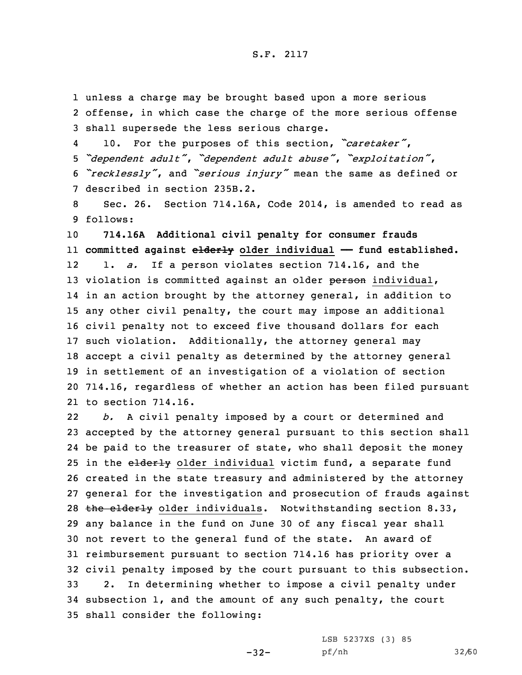1 unless <sup>a</sup> charge may be brought based upon <sup>a</sup> more serious 2 offense, in which case the charge of the more serious offense 3 shall supersede the less serious charge.

4 10. For the purposes of this section, *"caretaker"*, <sup>5</sup> *"dependent adult"*, *"dependent adult abuse"*, *"exploitation"*, <sup>6</sup> *"recklessly"*, and *"serious injury"* mean the same as defined or 7 described in section 235B.2.

8 Sec. 26. Section 714.16A, Code 2014, is amended to read as 9 follows:

 **714.16A Additional civil penalty for consumer frauds committed against elderly older individual —— fund established.** 12 1. *a.* If <sup>a</sup> person violates section 714.16, and the 13 violation is committed against an older person individual, in an action brought by the attorney general, in addition to any other civil penalty, the court may impose an additional civil penalty not to exceed five thousand dollars for each such violation. Additionally, the attorney general may accept <sup>a</sup> civil penalty as determined by the attorney general in settlement of an investigation of <sup>a</sup> violation of section 714.16, regardless of whether an action has been filed pursuant to section 714.16.

22 *b.* <sup>A</sup> civil penalty imposed by <sup>a</sup> court or determined and accepted by the attorney general pursuant to this section shall be paid to the treasurer of state, who shall deposit the money 25 in the elderly older individual victim fund, a separate fund created in the state treasury and administered by the attorney general for the investigation and prosecution of frauds against 28 the elderly older individuals. Notwithstanding section  $8.33$ , any balance in the fund on June 30 of any fiscal year shall not revert to the general fund of the state. An award of reimbursement pursuant to section 714.16 has priority over <sup>a</sup> civil penalty imposed by the court pursuant to this subsection. 2. In determining whether to impose <sup>a</sup> civil penalty under subsection 1, and the amount of any such penalty, the court shall consider the following:

-32-

LSB 5237XS (3) 85 pf/nh 32/60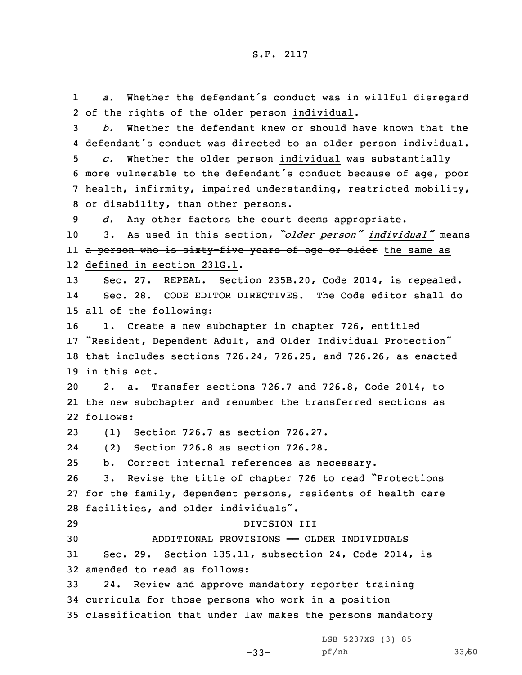1 *a.* Whether the defendant's conduct was in willful disregard 2 of the rights of the older person individual.

3 *b.* Whether the defendant knew or should have known that the 4 defendant's conduct was directed to an older person individual.

 *c.* Whether the older person individual was substantially more vulnerable to the defendant's conduct because of age, poor health, infirmity, impaired understanding, restricted mobility, or disability, than other persons.

9 *d.* Any other factors the court deems appropriate.

<sup>10</sup> 3. As used in this section, *"older person" individual"* means ll <del>a person who is sixty-five years of age or older</del> the same as 12 defined in section 231G.1.

13 Sec. 27. REPEAL. Section 235B.20, Code 2014, is repealed. 14 Sec. 28. CODE EDITOR DIRECTIVES. The Code editor shall do 15 all of the following:

16 1. Create a new subchapter in chapter 726, entitled "Resident, Dependent Adult, and Older Individual Protection" that includes sections 726.24, 726.25, and 726.26, as enacted in this Act.

20 2. a. Transfer sections 726.7 and 726.8, Code 2014, to 21 the new subchapter and renumber the transferred sections as 22 follows:

23 (1) Section 726.7 as section 726.27.

24(2) Section 726.8 as section 726.28.

25 b. Correct internal references as necessary.

<sup>26</sup> 3. Revise the title of chapter 726 to read "Protections 27 for the family, dependent persons, residents of health care 28 facilities, and older individuals".

 DIVISION III ADDITIONAL PROVISIONS —— OLDER INDIVIDUALS Sec. 29. Section 135.11, subsection 24, Code 2014, is amended to read as follows:

33 24. Review and approve mandatory reporter training 34 curricula for those persons who work in <sup>a</sup> position 35 classification that under law makes the persons mandatory

LSB 5237XS (3) 85

-33-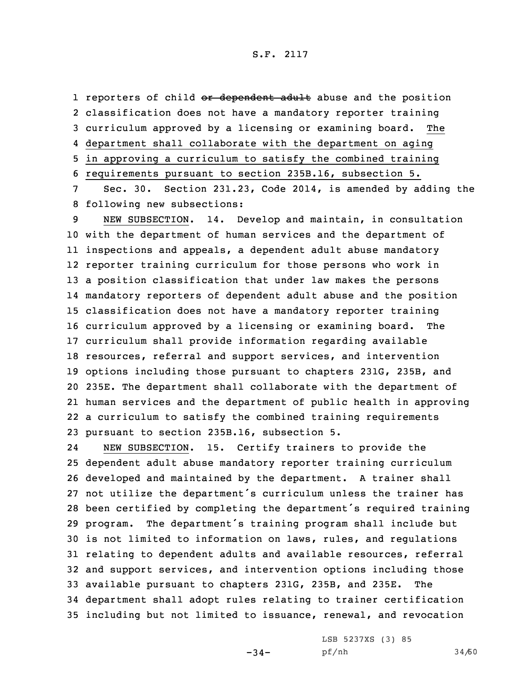1 reporters of child <del>or dependent adult</del> abuse and the position classification does not have <sup>a</sup> mandatory reporter training curriculum approved by <sup>a</sup> licensing or examining board. The department shall collaborate with the department on aging in approving <sup>a</sup> curriculum to satisfy the combined training requirements pursuant to section 235B.16, subsection 5. Sec. 30. Section 231.23, Code 2014, is amended by adding the

8 following new subsections:

 NEW SUBSECTION. 14. Develop and maintain, in consultation with the department of human services and the department of inspections and appeals, <sup>a</sup> dependent adult abuse mandatory reporter training curriculum for those persons who work in <sup>a</sup> position classification that under law makes the persons mandatory reporters of dependent adult abuse and the position classification does not have <sup>a</sup> mandatory reporter training curriculum approved by <sup>a</sup> licensing or examining board. The curriculum shall provide information regarding available resources, referral and support services, and intervention options including those pursuant to chapters 231G, 235B, and 235E. The department shall collaborate with the department of human services and the department of public health in approving <sup>a</sup> curriculum to satisfy the combined training requirements pursuant to section 235B.16, subsection 5.

24 NEW SUBSECTION. 15. Certify trainers to provide the dependent adult abuse mandatory reporter training curriculum developed and maintained by the department. <sup>A</sup> trainer shall not utilize the department's curriculum unless the trainer has been certified by completing the department's required training program. The department's training program shall include but is not limited to information on laws, rules, and regulations relating to dependent adults and available resources, referral and support services, and intervention options including those available pursuant to chapters 231G, 235B, and 235E. The department shall adopt rules relating to trainer certification including but not limited to issuance, renewal, and revocation

 $-34-$ 

LSB 5237XS (3) 85 pf/nh 34/60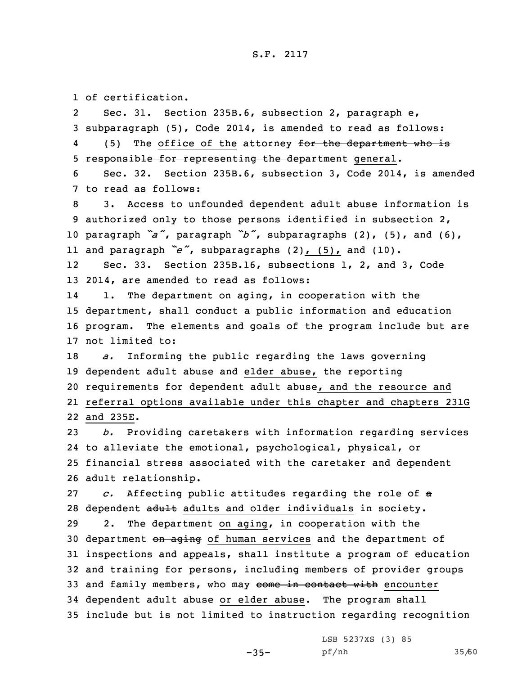1 of certification.

2 Sec. 31. Section 235B.6, subsection 2, paragraph e, subparagraph (5), Code 2014, is amended to read as follows: 4(5) The office of the attorney for the department who is responsible for representing the department general. Sec. 32. Section 235B.6, subsection 3, Code 2014, is amended to read as follows: 3. Access to unfounded dependent adult abuse information is authorized only to those persons identified in subsection 2, paragraph *"a"*, paragraph *"b"*, subparagraphs (2), (5), and (6), and paragraph *"e"*, subparagraphs (2), (5), and (10). 12 Sec. 33. Section 235B.16, subsections 1, 2, and 3, Code 2014, are amended to read as follows: 14 1. The department on aging, in cooperation with the department, shall conduct <sup>a</sup> public information and education program. The elements and goals of the program include but are not limited to: *a.* Informing the public regarding the laws governing dependent adult abuse and elder abuse, the reporting requirements for dependent adult abuse, and the resource and referral options available under this chapter and chapters 231G and 235E. *b.* Providing caretakers with information regarding services to alleviate the emotional, psychological, physical, or financial stress associated with the caretaker and dependent adult relationship. *c.* Affecting public attitudes regarding the role of <sup>a</sup> 28 dependent adults and older individuals in society. 2. The department on aging, in cooperation with the 30 department on aging of human services and the department of inspections and appeals, shall institute <sup>a</sup> program of education and training for persons, including members of provider groups 33 and family members, who may come in contact with encounter dependent adult abuse or elder abuse. The program shall include but is not limited to instruction regarding recognition

-35-

LSB 5237XS (3) 85 pf/nh 35/60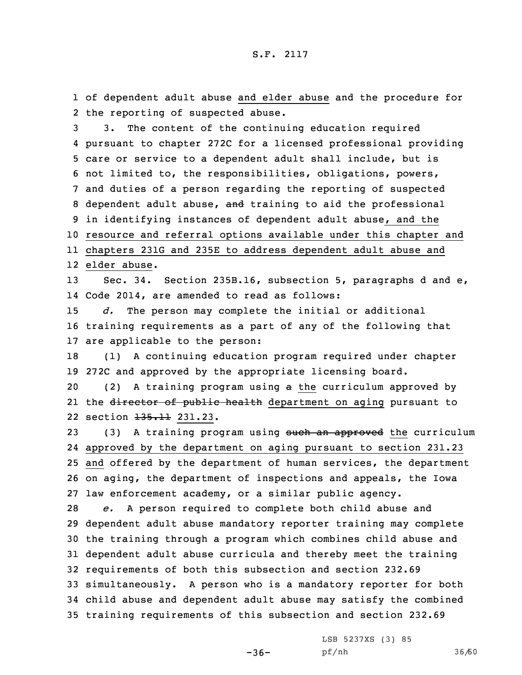1 of dependent adult abuse and elder abuse and the procedure for 2 the reporting of suspected abuse.

 3. The content of the continuing education required pursuant to chapter 272C for <sup>a</sup> licensed professional providing care or service to <sup>a</sup> dependent adult shall include, but is not limited to, the responsibilities, obligations, powers, and duties of <sup>a</sup> person regarding the reporting of suspected 8 dependent adult abuse, and training to aid the professional in identifying instances of dependent adult abuse, and the resource and referral options available under this chapter and chapters 231G and 235E to address dependent adult abuse and elder abuse.

13 Sec. 34. Section 235B.16, subsection 5, paragraphs d and e, 14 Code 2014, are amended to read as follows:

15 *d.* The person may complete the initial or additional 16 training requirements as <sup>a</sup> part of any of the following that 17 are applicable to the person:

18 (1) <sup>A</sup> continuing education program required under chapter 19 272C and approved by the appropriate licensing board.

20 (2) <sup>A</sup> training program using <sup>a</sup> the curriculum approved by 21 the <del>director of public health</del> department on aging pursuant to 22 section 135.11 231.23.

23 (3) A training program using such an approved the curriculum approved by the department on aging pursuant to section 231.23 and offered by the department of human services, the department on aging, the department of inspections and appeals, the Iowa law enforcement academy, or <sup>a</sup> similar public agency.

 *e.* <sup>A</sup> person required to complete both child abuse and dependent adult abuse mandatory reporter training may complete the training through <sup>a</sup> program which combines child abuse and dependent adult abuse curricula and thereby meet the training requirements of both this subsection and section 232.69 simultaneously. <sup>A</sup> person who is <sup>a</sup> mandatory reporter for both child abuse and dependent adult abuse may satisfy the combined training requirements of this subsection and section 232.69

LSB 5237XS (3) 85

pf/nh 36/60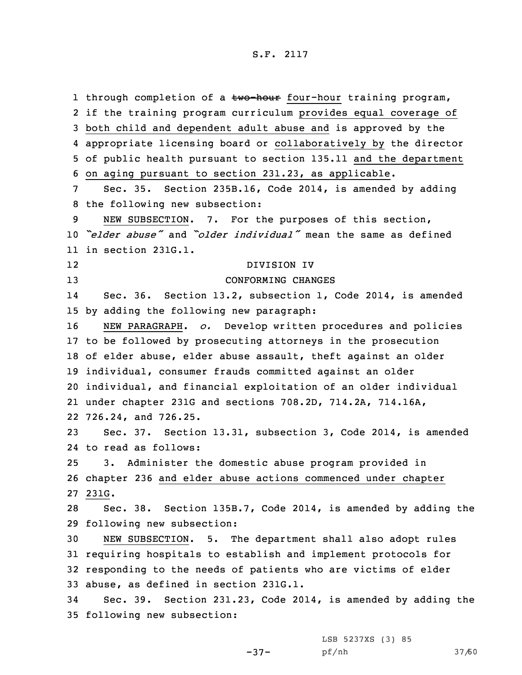1 through completion of a two-hour four-hour training program, if the training program curriculum provides equal coverage of both child and dependent adult abuse and is approved by the appropriate licensing board or collaboratively by the director of public health pursuant to section 135.11 and the department on aging pursuant to section 231.23, as applicable. Sec. 35. Section 235B.16, Code 2014, is amended by adding the following new subsection: NEW SUBSECTION. 7. For the purposes of this section, *"elder abuse"* and *"older individual"* mean the same as defined in section 231G.1. 12 DIVISION IV 13 CONFORMING CHANGES 14 Sec. 36. Section 13.2, subsection 1, Code 2014, is amended by adding the following new paragraph: NEW PARAGRAPH. *o.* Develop written procedures and policies to be followed by prosecuting attorneys in the prosecution of elder abuse, elder abuse assault, theft against an older individual, consumer frauds committed against an older individual, and financial exploitation of an older individual under chapter 231G and sections 708.2D, 714.2A, 714.16A, 726.24, and 726.25. Sec. 37. Section 13.31, subsection 3, Code 2014, is amended to read as follows: 3. Administer the domestic abuse program provided in chapter 236 and elder abuse actions commenced under chapter 27 231G. Sec. 38. Section 135B.7, Code 2014, is amended by adding the following new subsection: NEW SUBSECTION. 5. The department shall also adopt rules requiring hospitals to establish and implement protocols for responding to the needs of patients who are victims of elder abuse, as defined in section 231G.1. Sec. 39. Section 231.23, Code 2014, is amended by adding the following new subsection:

-37-

LSB 5237XS (3) 85 pf/nh 37/60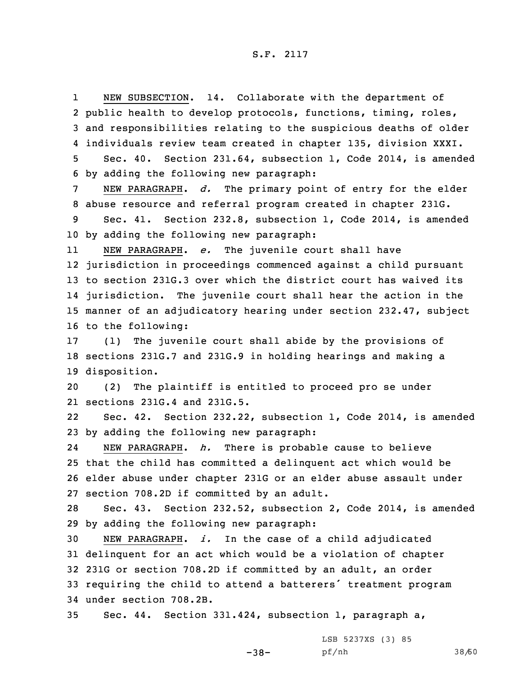1 NEW SUBSECTION. 14. Collaborate with the department of public health to develop protocols, functions, timing, roles, and responsibilities relating to the suspicious deaths of older individuals review team created in chapter 135, division XXXI. Sec. 40. Section 231.64, subsection 1, Code 2014, is amended by adding the following new paragraph:

7 NEW PARAGRAPH. *d.* The primary point of entry for the elder 8 abuse resource and referral program created in chapter 231G.

9 Sec. 41. Section 232.8, subsection 1, Code 2014, is amended 10 by adding the following new paragraph:

11 NEW PARAGRAPH. *e.* The juvenile court shall have jurisdiction in proceedings commenced against <sup>a</sup> child pursuant to section 231G.3 over which the district court has waived its jurisdiction. The juvenile court shall hear the action in the manner of an adjudicatory hearing under section 232.47, subject to the following:

17 (1) The juvenile court shall abide by the provisions of 18 sections 231G.7 and 231G.9 in holding hearings and making <sup>a</sup> 19 disposition.

20 (2) The plaintiff is entitled to proceed pro se under 21 sections 231G.4 and 231G.5.

22 Sec. 42. Section 232.22, subsection 1, Code 2014, is amended 23 by adding the following new paragraph:

24 NEW PARAGRAPH. *h.* There is probable cause to believe 25 that the child has committed <sup>a</sup> delinquent act which would be 26 elder abuse under chapter 231G or an elder abuse assault under 27 section 708.2D if committed by an adult.

28 Sec. 43. Section 232.52, subsection 2, Code 2014, is amended 29 by adding the following new paragraph:

 NEW PARAGRAPH. *i.* In the case of <sup>a</sup> child adjudicated delinquent for an act which would be <sup>a</sup> violation of chapter 231G or section 708.2D if committed by an adult, an order requiring the child to attend <sup>a</sup> batterers' treatment program under section 708.2B.

-38-

35 Sec. 44. Section 331.424, subsection 1, paragraph a,

LSB 5237XS (3) 85 pf/nh 38/60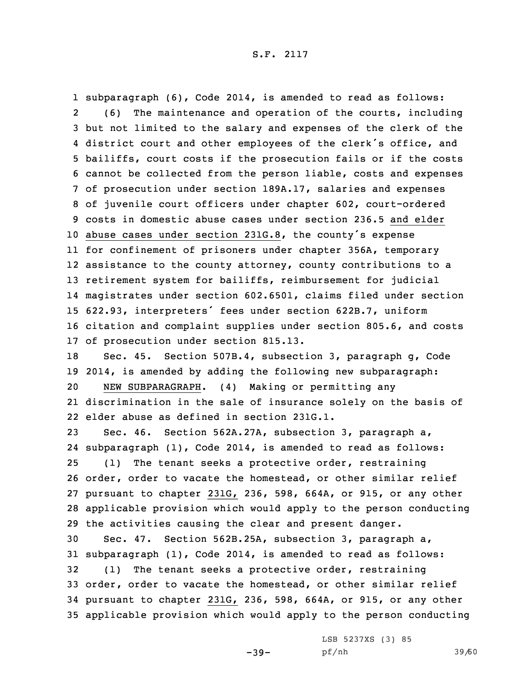subparagraph (6), Code 2014, is amended to read as follows: 2 (6) The maintenance and operation of the courts, including but not limited to the salary and expenses of the clerk of the district court and other employees of the clerk's office, and bailiffs, court costs if the prosecution fails or if the costs cannot be collected from the person liable, costs and expenses of prosecution under section 189A.17, salaries and expenses of juvenile court officers under chapter 602, court-ordered costs in domestic abuse cases under section 236.5 and elder abuse cases under section 231G.8, the county's expense for confinement of prisoners under chapter 356A, temporary assistance to the county attorney, county contributions to <sup>a</sup> retirement system for bailiffs, reimbursement for judicial magistrates under section 602.6501, claims filed under section 622.93, interpreters' fees under section 622B.7, uniform citation and complaint supplies under section 805.6, and costs of prosecution under section 815.13.

 Sec. 45. Section 507B.4, subsection 3, paragraph g, Code 2014, is amended by adding the following new subparagraph: NEW SUBPARAGRAPH. (4) Making or permitting any discrimination in the sale of insurance solely on the basis of elder abuse as defined in section 231G.1.

 Sec. 46. Section 562A.27A, subsection 3, paragraph a, subparagraph (1), Code 2014, is amended to read as follows: (1) The tenant seeks <sup>a</sup> protective order, restraining order, order to vacate the homestead, or other similar relief pursuant to chapter 231G, 236, 598, 664A, or 915, or any other applicable provision which would apply to the person conducting the activities causing the clear and present danger.

 Sec. 47. Section 562B.25A, subsection 3, paragraph a, subparagraph (1), Code 2014, is amended to read as follows: (1) The tenant seeks <sup>a</sup> protective order, restraining order, order to vacate the homestead, or other similar relief pursuant to chapter 231G, 236, 598, 664A, or 915, or any other applicable provision which would apply to the person conducting

-39-

LSB 5237XS (3) 85

pf/nh 39/60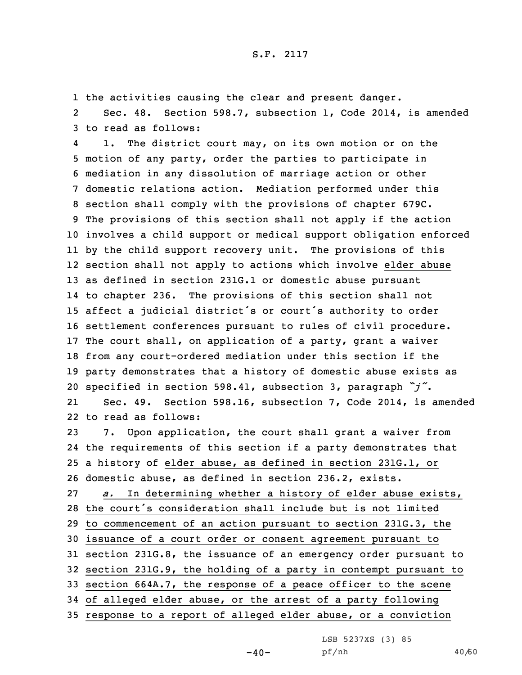1 the activities causing the clear and present danger.

2 Sec. 48. Section 598.7, subsection 1, Code 2014, is amended 3 to read as follows:

4 1. The district court may, on its own motion or on the motion of any party, order the parties to participate in mediation in any dissolution of marriage action or other domestic relations action. Mediation performed under this section shall comply with the provisions of chapter 679C. The provisions of this section shall not apply if the action involves <sup>a</sup> child support or medical support obligation enforced by the child support recovery unit. The provisions of this section shall not apply to actions which involve elder abuse as defined in section 231G.1 or domestic abuse pursuant to chapter 236. The provisions of this section shall not affect <sup>a</sup> judicial district's or court's authority to order settlement conferences pursuant to rules of civil procedure. The court shall, on application of <sup>a</sup> party, grant <sup>a</sup> waiver from any court-ordered mediation under this section if the party demonstrates that <sup>a</sup> history of domestic abuse exists as specified in section 598.41, subsection 3, paragraph *"j"*. 21 Sec. 49. Section 598.16, subsection 7, Code 2014, is amended to read as follows:

 7. Upon application, the court shall grant <sup>a</sup> waiver from the requirements of this section if <sup>a</sup> party demonstrates that <sup>a</sup> history of elder abuse, as defined in section 231G.1, or domestic abuse, as defined in section 236.2, exists.

 *a.* In determining whether <sup>a</sup> history of elder abuse exists, the court's consideration shall include but is not limited to commencement of an action pursuant to section 231G.3, the issuance of <sup>a</sup> court order or consent agreement pursuant to section 231G.8, the issuance of an emergency order pursuant to

32 section 231G.9, the holding of <sup>a</sup> party in contempt pursuant to

33 section 664A.7, the response of <sup>a</sup> peace officer to the scene

34 of alleged elder abuse, or the arrest of <sup>a</sup> party following

35 response to <sup>a</sup> report of alleged elder abuse, or <sup>a</sup> conviction

LSB 5237XS (3) 85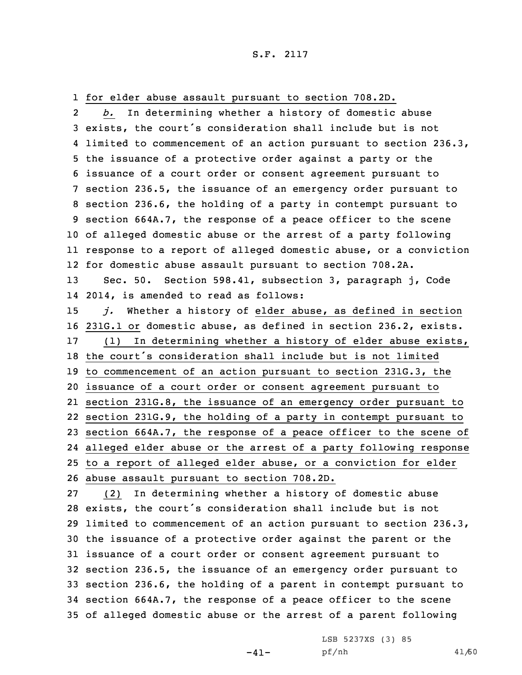1 for elder abuse assault pursuant to section 708.2D.

2 *b.* In determining whether <sup>a</sup> history of domestic abuse exists, the court's consideration shall include but is not limited to commencement of an action pursuant to section 236.3, the issuance of <sup>a</sup> protective order against <sup>a</sup> party or the issuance of <sup>a</sup> court order or consent agreement pursuant to section 236.5, the issuance of an emergency order pursuant to section 236.6, the holding of <sup>a</sup> party in contempt pursuant to section 664A.7, the response of <sup>a</sup> peace officer to the scene of alleged domestic abuse or the arrest of <sup>a</sup> party following response to <sup>a</sup> report of alleged domestic abuse, or <sup>a</sup> conviction for domestic abuse assault pursuant to section 708.2A. Sec. 50. Section 598.41, subsection 3, paragraph j, Code 2014, is amended to read as follows: *j.* Whether <sup>a</sup> history of elder abuse, as defined in section 231G.1 or domestic abuse, as defined in section 236.2, exists. (1) In determining whether <sup>a</sup> history of elder abuse exists, the court's consideration shall include but is not limited to commencement of an action pursuant to section 231G.3, the issuance of <sup>a</sup> court order or consent agreement pursuant to section 231G.8, the issuance of an emergency order pursuant to section 231G.9, the holding of <sup>a</sup> party in contempt pursuant to section 664A.7, the response of <sup>a</sup> peace officer to the scene of alleged elder abuse or the arrest of <sup>a</sup> party following response to <sup>a</sup> report of alleged elder abuse, or <sup>a</sup> conviction for elder abuse assault pursuant to section 708.2D. (2) In determining whether <sup>a</sup> history of domestic abuse

 exists, the court's consideration shall include but is not limited to commencement of an action pursuant to section 236.3, the issuance of <sup>a</sup> protective order against the parent or the issuance of <sup>a</sup> court order or consent agreement pursuant to section 236.5, the issuance of an emergency order pursuant to section 236.6, the holding of <sup>a</sup> parent in contempt pursuant to section 664A.7, the response of <sup>a</sup> peace officer to the scene of alleged domestic abuse or the arrest of <sup>a</sup> parent following

 $-41-$ 

LSB 5237XS (3) 85 pf/nh 41/60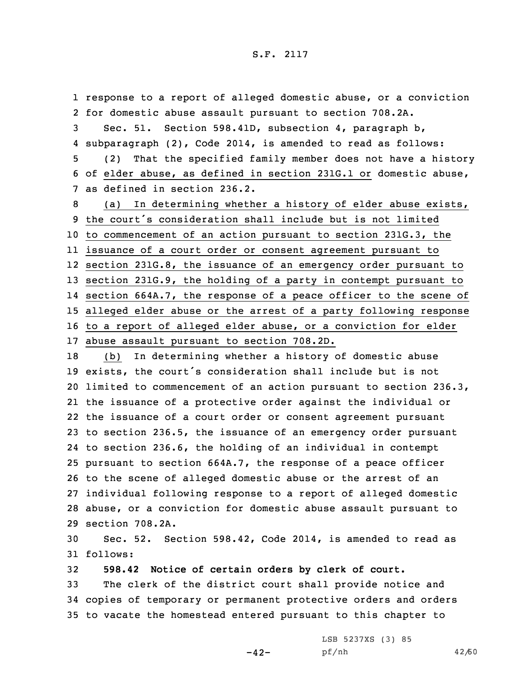response to <sup>a</sup> report of alleged domestic abuse, or <sup>a</sup> conviction for domestic abuse assault pursuant to section 708.2A. Sec. 51. Section 598.41D, subsection 4, paragraph b, subparagraph (2), Code 2014, is amended to read as follows: (2) That the specified family member does not have <sup>a</sup> history of elder abuse, as defined in section 231G.1 or domestic abuse, as defined in section 236.2. (a) In determining whether <sup>a</sup> history of elder abuse exists, the court's consideration shall include but is not limited to commencement of an action pursuant to section 231G.3, the issuance of <sup>a</sup> court order or consent agreement pursuant to section 231G.8, the issuance of an emergency order pursuant to section 231G.9, the holding of <sup>a</sup> party in contempt pursuant to section 664A.7, the response of <sup>a</sup> peace officer to the scene of alleged elder abuse or the arrest of <sup>a</sup> party following response to <sup>a</sup> report of alleged elder abuse, or <sup>a</sup> conviction for elder abuse assault pursuant to section 708.2D. (b) In determining whether <sup>a</sup> history of domestic abuse

 exists, the court's consideration shall include but is not limited to commencement of an action pursuant to section 236.3, the issuance of <sup>a</sup> protective order against the individual or the issuance of <sup>a</sup> court order or consent agreement pursuant to section 236.5, the issuance of an emergency order pursuant to section 236.6, the holding of an individual in contempt pursuant to section 664A.7, the response of <sup>a</sup> peace officer to the scene of alleged domestic abuse or the arrest of an individual following response to <sup>a</sup> report of alleged domestic abuse, or <sup>a</sup> conviction for domestic abuse assault pursuant to section 708.2A.

30 Sec. 52. Section 598.42, Code 2014, is amended to read as 31 follows:

32 **598.42 Notice of certain orders by clerk of court.**

33 The clerk of the district court shall provide notice and 34 copies of temporary or permanent protective orders and orders 35 to vacate the homestead entered pursuant to this chapter to

 $-42-$ 

LSB 5237XS (3) 85 pf/nh 42/60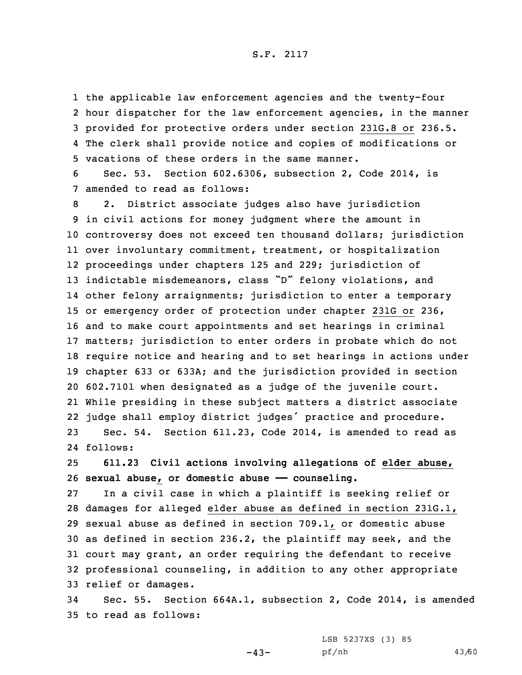the applicable law enforcement agencies and the twenty-four hour dispatcher for the law enforcement agencies, in the manner provided for protective orders under section 231G.8 or 236.5. The clerk shall provide notice and copies of modifications or vacations of these orders in the same manner.

6 Sec. 53. Section 602.6306, subsection 2, Code 2014, is 7 amended to read as follows:

 2. District associate judges also have jurisdiction in civil actions for money judgment where the amount in controversy does not exceed ten thousand dollars; jurisdiction over involuntary commitment, treatment, or hospitalization proceedings under chapters 125 and 229; jurisdiction of indictable misdemeanors, class "D" felony violations, and other felony arraignments; jurisdiction to enter <sup>a</sup> temporary or emergency order of protection under chapter 231G or 236, and to make court appointments and set hearings in criminal matters; jurisdiction to enter orders in probate which do not require notice and hearing and to set hearings in actions under chapter 633 or 633A; and the jurisdiction provided in section 602.7101 when designated as <sup>a</sup> judge of the juvenile court. While presiding in these subject matters <sup>a</sup> district associate judge shall employ district judges' practice and procedure. Sec. 54. Section 611.23, Code 2014, is amended to read as 24 follows:

25 **611.23 Civil actions involving allegations of elder abuse,** 26 **sexual abuse, or domestic abuse —— counseling.**

 In <sup>a</sup> civil case in which <sup>a</sup> plaintiff is seeking relief or damages for alleged elder abuse as defined in section 231G.1, sexual abuse as defined in section 709.1, or domestic abuse as defined in section 236.2, the plaintiff may seek, and the court may grant, an order requiring the defendant to receive professional counseling, in addition to any other appropriate relief or damages.

34 Sec. 55. Section 664A.1, subsection 2, Code 2014, is amended 35 to read as follows:

 $-43-$ 

LSB 5237XS (3) 85 pf/nh 43/60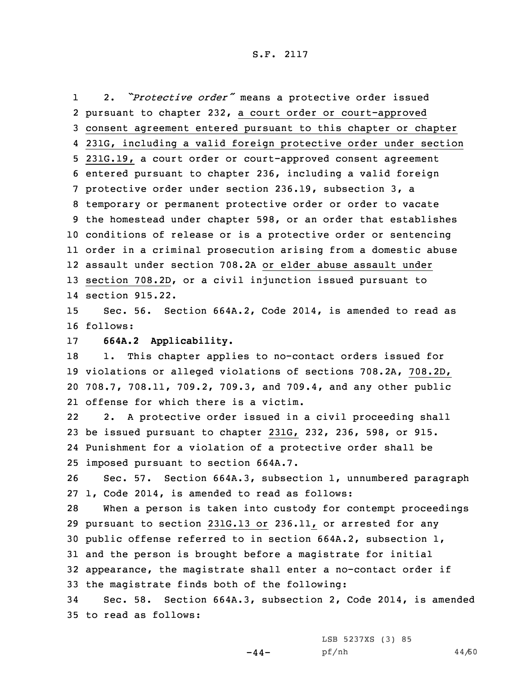1 2. *"Protective order"* means <sup>a</sup> protective order issued pursuant to chapter 232, <sup>a</sup> court order or court-approved consent agreement entered pursuant to this chapter or chapter 231G, including <sup>a</sup> valid foreign protective order under section 231G.19, <sup>a</sup> court order or court-approved consent agreement entered pursuant to chapter 236, including <sup>a</sup> valid foreign protective order under section 236.19, subsection 3, <sup>a</sup> temporary or permanent protective order or order to vacate the homestead under chapter 598, or an order that establishes conditions of release or is <sup>a</sup> protective order or sentencing order in <sup>a</sup> criminal prosecution arising from <sup>a</sup> domestic abuse assault under section 708.2A or elder abuse assault under section 708.2D, or <sup>a</sup> civil injunction issued pursuant to section 915.22.

15 Sec. 56. Section 664A.2, Code 2014, is amended to read as 16 follows:

17 **664A.2 Applicability.**

 1. This chapter applies to no-contact orders issued for violations or alleged violations of sections 708.2A, 708.2D, 708.7, 708.11, 709.2, 709.3, and 709.4, and any other public offense for which there is <sup>a</sup> victim.

22 2. <sup>A</sup> protective order issued in <sup>a</sup> civil proceeding shall 23 be issued pursuant to chapter 231G, 232, 236, 598, or 915. 24 Punishment for <sup>a</sup> violation of <sup>a</sup> protective order shall be 25 imposed pursuant to section 664A.7.

26 Sec. 57. Section 664A.3, subsection 1, unnumbered paragraph 27 1, Code 2014, is amended to read as follows:

 When <sup>a</sup> person is taken into custody for contempt proceedings pursuant to section 231G.13 or 236.11, or arrested for any public offense referred to in section 664A.2, subsection 1, and the person is brought before <sup>a</sup> magistrate for initial appearance, the magistrate shall enter <sup>a</sup> no-contact order if the magistrate finds both of the following:

34 Sec. 58. Section 664A.3, subsection 2, Code 2014, is amended 35 to read as follows:

LSB 5237XS (3) 85

 $-44-$ 

pf/nh 44/60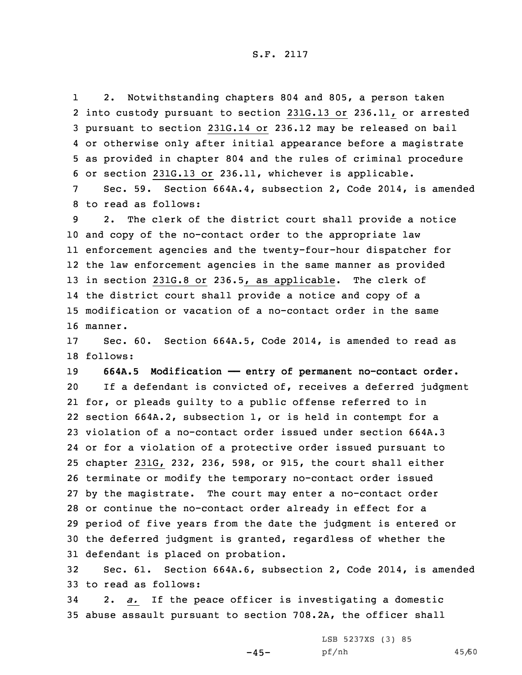1 2. Notwithstanding chapters 804 and 805, <sup>a</sup> person taken into custody pursuant to section 231G.13 or 236.11, or arrested pursuant to section 231G.14 or 236.12 may be released on bail or otherwise only after initial appearance before <sup>a</sup> magistrate as provided in chapter 804 and the rules of criminal procedure or section 231G.13 or 236.11, whichever is applicable.

7 Sec. 59. Section 664A.4, subsection 2, Code 2014, is amended 8 to read as follows:

 2. The clerk of the district court shall provide <sup>a</sup> notice and copy of the no-contact order to the appropriate law enforcement agencies and the twenty-four-hour dispatcher for the law enforcement agencies in the same manner as provided in section 231G.8 or 236.5, as applicable. The clerk of the district court shall provide <sup>a</sup> notice and copy of <sup>a</sup> modification or vacation of <sup>a</sup> no-contact order in the same 16 manner.

17 Sec. 60. Section 664A.5, Code 2014, is amended to read as 18 follows:

 **664A.5 Modification —— entry of permanent no-contact order.** If <sup>a</sup> defendant is convicted of, receives <sup>a</sup> deferred judgment for, or pleads guilty to <sup>a</sup> public offense referred to in section 664A.2, subsection 1, or is held in contempt for <sup>a</sup> violation of <sup>a</sup> no-contact order issued under section 664A.3 or for <sup>a</sup> violation of <sup>a</sup> protective order issued pursuant to chapter 231G, 232, 236, 598, or 915, the court shall either terminate or modify the temporary no-contact order issued by the magistrate. The court may enter <sup>a</sup> no-contact order or continue the no-contact order already in effect for <sup>a</sup> period of five years from the date the judgment is entered or the deferred judgment is granted, regardless of whether the defendant is placed on probation.

32 Sec. 61. Section 664A.6, subsection 2, Code 2014, is amended 33 to read as follows:

34 2. *a.* If the peace officer is investigating <sup>a</sup> domestic 35 abuse assault pursuant to section 708.2A, the officer shall

 $-45-$ 

LSB 5237XS (3) 85 pf/nh 45/60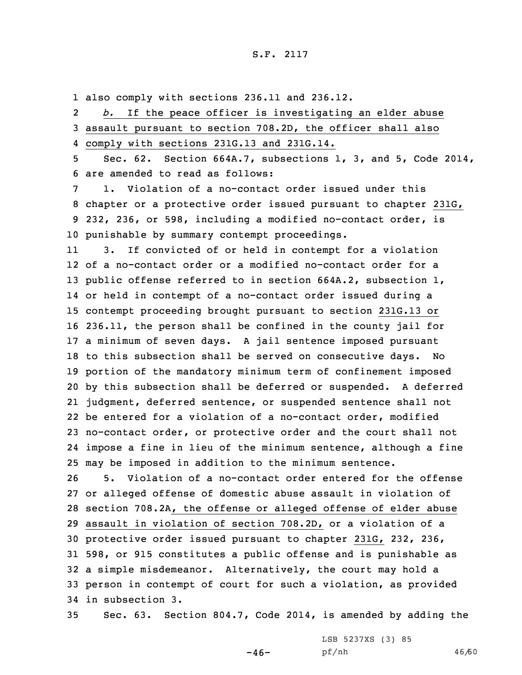1 also comply with sections 236.11 and 236.12.

2 *b.* If the peace officer is investigating an elder abuse 3 assault pursuant to section 708.2D, the officer shall also 4 comply with sections 231G.13 and 231G.14.

5 Sec. 62. Section 664A.7, subsections 1, 3, and 5, Code 2014, 6 are amended to read as follows:

 1. Violation of <sup>a</sup> no-contact order issued under this chapter or <sup>a</sup> protective order issued pursuant to chapter 231G, 232, 236, or 598, including <sup>a</sup> modified no-contact order, is punishable by summary contempt proceedings.

11 3. If convicted of or held in contempt for <sup>a</sup> violation of <sup>a</sup> no-contact order or <sup>a</sup> modified no-contact order for <sup>a</sup> public offense referred to in section 664A.2, subsection 1, or held in contempt of <sup>a</sup> no-contact order issued during <sup>a</sup> contempt proceeding brought pursuant to section 231G.13 or 236.11, the person shall be confined in the county jail for <sup>a</sup> minimum of seven days. <sup>A</sup> jail sentence imposed pursuant to this subsection shall be served on consecutive days. No portion of the mandatory minimum term of confinement imposed by this subsection shall be deferred or suspended. <sup>A</sup> deferred judgment, deferred sentence, or suspended sentence shall not be entered for <sup>a</sup> violation of <sup>a</sup> no-contact order, modified no-contact order, or protective order and the court shall not impose <sup>a</sup> fine in lieu of the minimum sentence, although <sup>a</sup> fine may be imposed in addition to the minimum sentence.

 5. Violation of <sup>a</sup> no-contact order entered for the offense or alleged offense of domestic abuse assault in violation of section 708.2A, the offense or alleged offense of elder abuse assault in violation of section 708.2D, or <sup>a</sup> violation of <sup>a</sup> protective order issued pursuant to chapter 231G, 232, 236, 598, or 915 constitutes <sup>a</sup> public offense and is punishable as <sup>a</sup> simple misdemeanor. Alternatively, the court may hold <sup>a</sup> person in contempt of court for such <sup>a</sup> violation, as provided in subsection 3.

35 Sec. 63. Section 804.7, Code 2014, is amended by adding the

 $-46-$ 

LSB 5237XS (3) 85 pf/nh 46/60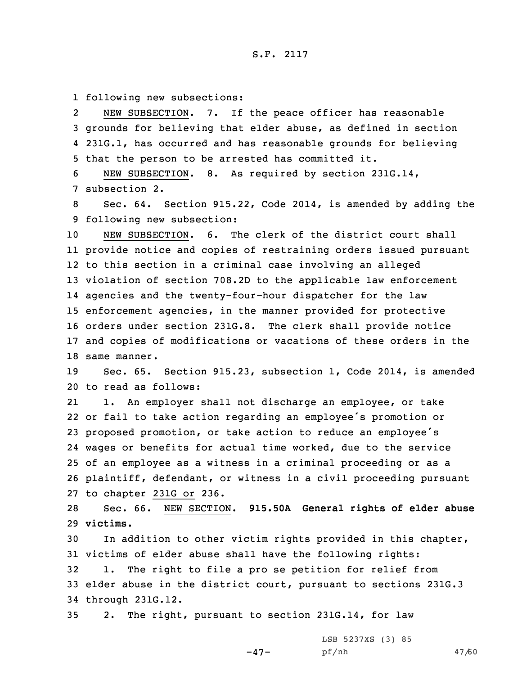1 following new subsections:

2 NEW SUBSECTION. 7. If the peace officer has reasonable 3 grounds for believing that elder abuse, as defined in section 4 231G.1, has occurred and has reasonable grounds for believing 5 that the person to be arrested has committed it.

6 NEW SUBSECTION. 8. As required by section 231G.14, 7 subsection 2.

8 Sec. 64. Section 915.22, Code 2014, is amended by adding the 9 following new subsection:

 NEW SUBSECTION. 6. The clerk of the district court shall provide notice and copies of restraining orders issued pursuant to this section in <sup>a</sup> criminal case involving an alleged violation of section 708.2D to the applicable law enforcement agencies and the twenty-four-hour dispatcher for the law enforcement agencies, in the manner provided for protective orders under section 231G.8. The clerk shall provide notice and copies of modifications or vacations of these orders in the same manner.

19 Sec. 65. Section 915.23, subsection 1, Code 2014, is amended 20 to read as follows:

21 1. An employer shall not discharge an employee, or take or fail to take action regarding an employee's promotion or proposed promotion, or take action to reduce an employee's wages or benefits for actual time worked, due to the service of an employee as <sup>a</sup> witness in <sup>a</sup> criminal proceeding or as <sup>a</sup> plaintiff, defendant, or witness in <sup>a</sup> civil proceeding pursuant to chapter 231G or 236.

28 Sec. 66. NEW SECTION. **915.50A General rights of elder abuse** 29 **victims.**

 In addition to other victim rights provided in this chapter, victims of elder abuse shall have the following rights: 1. The right to file <sup>a</sup> pro se petition for relief from elder abuse in the district court, pursuant to sections 231G.3 through 231G.12.

35 2. The right, pursuant to section 231G.14, for law

 $-47-$ 

LSB 5237XS (3) 85 pf/nh 47/60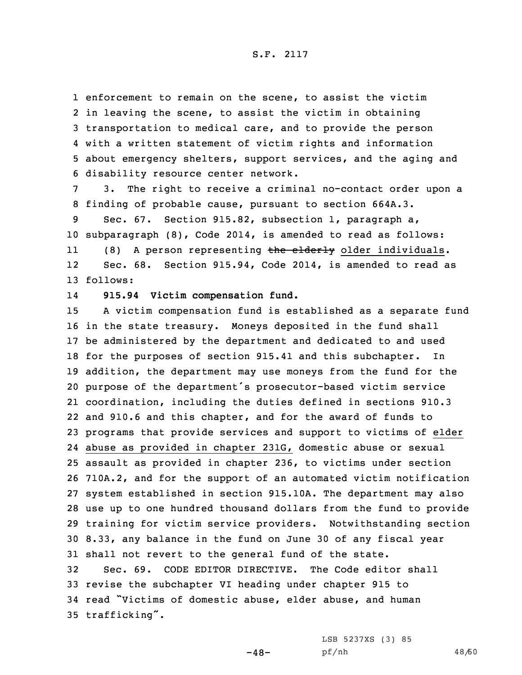enforcement to remain on the scene, to assist the victim in leaving the scene, to assist the victim in obtaining transportation to medical care, and to provide the person with <sup>a</sup> written statement of victim rights and information about emergency shelters, support services, and the aging and disability resource center network.

7 3. The right to receive <sup>a</sup> criminal no-contact order upon <sup>a</sup> 8 finding of probable cause, pursuant to section 664A.3.

9 Sec. 67. Section 915.82, subsection 1, paragraph a, 10 subparagraph (8), Code 2014, is amended to read as follows:

11(8) A person representing  $the$  elderly older individuals. 12 Sec. 68. Section 915.94, Code 2014, is amended to read as 13 follows:

14**915.94 Victim compensation fund.**

 <sup>A</sup> victim compensation fund is established as <sup>a</sup> separate fund in the state treasury. Moneys deposited in the fund shall be administered by the department and dedicated to and used for the purposes of section 915.41 and this subchapter. In addition, the department may use moneys from the fund for the purpose of the department's prosecutor-based victim service coordination, including the duties defined in sections 910.3 and 910.6 and this chapter, and for the award of funds to programs that provide services and support to victims of elder abuse as provided in chapter 231G, domestic abuse or sexual assault as provided in chapter 236, to victims under section 710A.2, and for the support of an automated victim notification system established in section 915.10A. The department may also use up to one hundred thousand dollars from the fund to provide training for victim service providers. Notwithstanding section 8.33, any balance in the fund on June 30 of any fiscal year shall not revert to the general fund of the state. Sec. 69. CODE EDITOR DIRECTIVE. The Code editor shall revise the subchapter VI heading under chapter 915 to read "Victims of domestic abuse, elder abuse, and human trafficking".

 $-48-$ 

LSB 5237XS (3) 85 pf/nh 48/60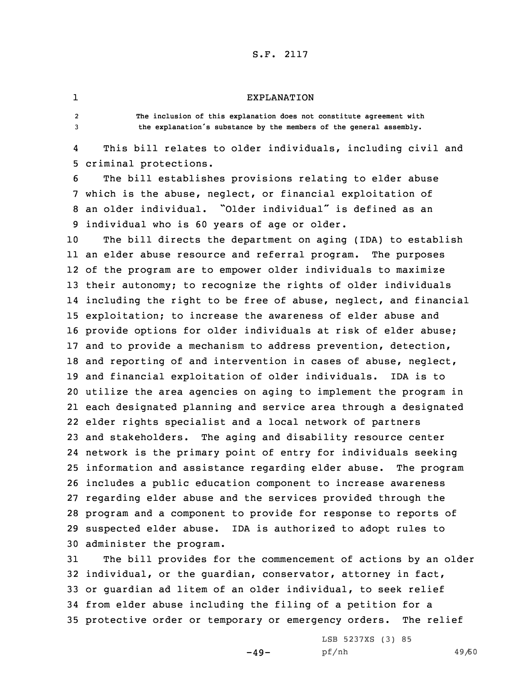# EXPLANATION

1 $\mathcal{L}$ 

 **The inclusion of this explanation does not constitute agreement with** <sup>3</sup> **the explanation's substance by the members of the general assembly.**

4 This bill relates to older individuals, including civil and 5 criminal protections.

 The bill establishes provisions relating to elder abuse which is the abuse, neglect, or financial exploitation of an older individual. "Older individual" is defined as an individual who is 60 years of age or older.

 The bill directs the department on aging (IDA) to establish an elder abuse resource and referral program. The purposes of the program are to empower older individuals to maximize their autonomy; to recognize the rights of older individuals including the right to be free of abuse, neglect, and financial exploitation; to increase the awareness of elder abuse and provide options for older individuals at risk of elder abuse; and to provide <sup>a</sup> mechanism to address prevention, detection, and reporting of and intervention in cases of abuse, neglect, and financial exploitation of older individuals. IDA is to utilize the area agencies on aging to implement the program in each designated planning and service area through <sup>a</sup> designated elder rights specialist and <sup>a</sup> local network of partners and stakeholders. The aging and disability resource center network is the primary point of entry for individuals seeking information and assistance regarding elder abuse. The program includes <sup>a</sup> public education component to increase awareness regarding elder abuse and the services provided through the program and <sup>a</sup> component to provide for response to reports of suspected elder abuse. IDA is authorized to adopt rules to administer the program.

 The bill provides for the commencement of actions by an older individual, or the guardian, conservator, attorney in fact, or guardian ad litem of an older individual, to seek relief from elder abuse including the filing of <sup>a</sup> petition for <sup>a</sup> protective order or temporary or emergency orders. The relief

 $-49-$ 

LSB 5237XS (3) 85 pf/nh 49/60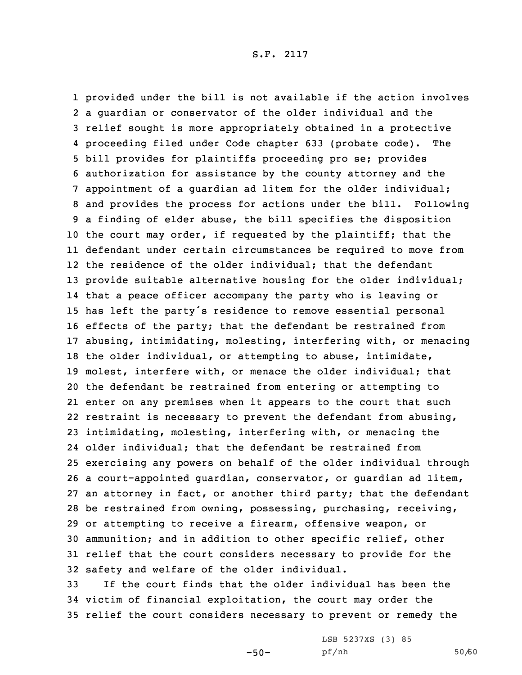provided under the bill is not available if the action involves <sup>a</sup> guardian or conservator of the older individual and the relief sought is more appropriately obtained in <sup>a</sup> protective proceeding filed under Code chapter 633 (probate code). The bill provides for plaintiffs proceeding pro se; provides authorization for assistance by the county attorney and the appointment of <sup>a</sup> guardian ad litem for the older individual; and provides the process for actions under the bill. Following <sup>a</sup> finding of elder abuse, the bill specifies the disposition the court may order, if requested by the plaintiff; that the defendant under certain circumstances be required to move from the residence of the older individual; that the defendant provide suitable alternative housing for the older individual; that <sup>a</sup> peace officer accompany the party who is leaving or has left the party's residence to remove essential personal effects of the party; that the defendant be restrained from abusing, intimidating, molesting, interfering with, or menacing the older individual, or attempting to abuse, intimidate, molest, interfere with, or menace the older individual; that the defendant be restrained from entering or attempting to enter on any premises when it appears to the court that such restraint is necessary to prevent the defendant from abusing, intimidating, molesting, interfering with, or menacing the older individual; that the defendant be restrained from exercising any powers on behalf of the older individual through <sup>a</sup> court-appointed guardian, conservator, or guardian ad litem, an attorney in fact, or another third party; that the defendant be restrained from owning, possessing, purchasing, receiving, or attempting to receive <sup>a</sup> firearm, offensive weapon, or ammunition; and in addition to other specific relief, other relief that the court considers necessary to provide for the safety and welfare of the older individual.

33 If the court finds that the older individual has been the 34 victim of financial exploitation, the court may order the 35 relief the court considers necessary to prevent or remedy the

-50-

LSB 5237XS (3) 85 pf/nh 50/60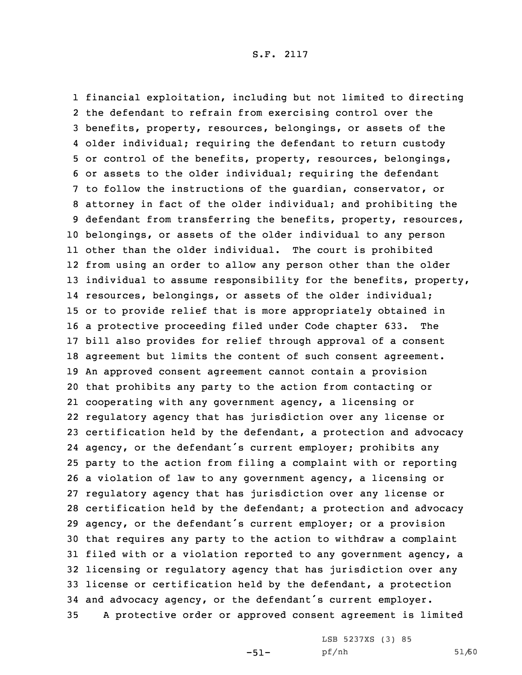financial exploitation, including but not limited to directing the defendant to refrain from exercising control over the benefits, property, resources, belongings, or assets of the older individual; requiring the defendant to return custody or control of the benefits, property, resources, belongings, or assets to the older individual; requiring the defendant to follow the instructions of the guardian, conservator, or attorney in fact of the older individual; and prohibiting the defendant from transferring the benefits, property, resources, belongings, or assets of the older individual to any person other than the older individual. The court is prohibited from using an order to allow any person other than the older 13 individual to assume responsibility for the benefits, property, resources, belongings, or assets of the older individual; or to provide relief that is more appropriately obtained in <sup>a</sup> protective proceeding filed under Code chapter 633. The bill also provides for relief through approval of <sup>a</sup> consent agreement but limits the content of such consent agreement. An approved consent agreement cannot contain <sup>a</sup> provision that prohibits any party to the action from contacting or cooperating with any government agency, <sup>a</sup> licensing or regulatory agency that has jurisdiction over any license or certification held by the defendant, <sup>a</sup> protection and advocacy agency, or the defendant's current employer; prohibits any party to the action from filing <sup>a</sup> complaint with or reporting <sup>a</sup> violation of law to any government agency, <sup>a</sup> licensing or regulatory agency that has jurisdiction over any license or certification held by the defendant; <sup>a</sup> protection and advocacy agency, or the defendant's current employer; or <sup>a</sup> provision that requires any party to the action to withdraw <sup>a</sup> complaint filed with or <sup>a</sup> violation reported to any government agency, <sup>a</sup> licensing or regulatory agency that has jurisdiction over any license or certification held by the defendant, <sup>a</sup> protection and advocacy agency, or the defendant's current employer. <sup>A</sup> protective order or approved consent agreement is limited

-51-

LSB 5237XS (3) 85 pf/nh 51/60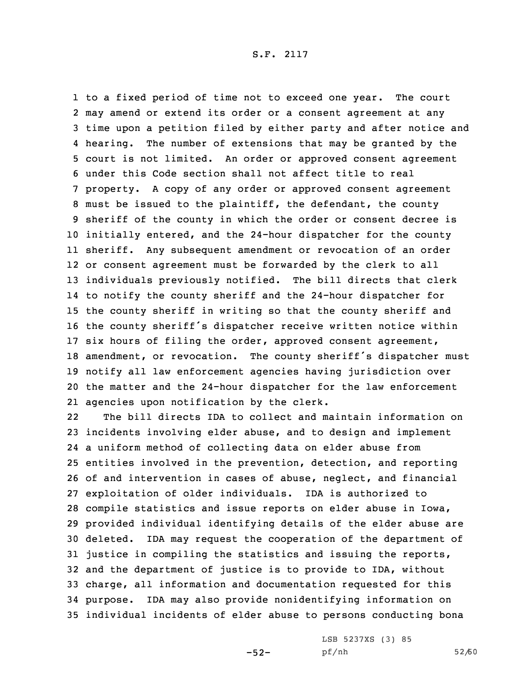to <sup>a</sup> fixed period of time not to exceed one year. The court may amend or extend its order or <sup>a</sup> consent agreement at any time upon <sup>a</sup> petition filed by either party and after notice and hearing. The number of extensions that may be granted by the court is not limited. An order or approved consent agreement under this Code section shall not affect title to real property. <sup>A</sup> copy of any order or approved consent agreement must be issued to the plaintiff, the defendant, the county sheriff of the county in which the order or consent decree is initially entered, and the 24-hour dispatcher for the county sheriff. Any subsequent amendment or revocation of an order or consent agreement must be forwarded by the clerk to all individuals previously notified. The bill directs that clerk to notify the county sheriff and the 24-hour dispatcher for the county sheriff in writing so that the county sheriff and the county sheriff's dispatcher receive written notice within six hours of filing the order, approved consent agreement, 18 amendment, or revocation. The county sheriff's dispatcher must notify all law enforcement agencies having jurisdiction over the matter and the 24-hour dispatcher for the law enforcement agencies upon notification by the clerk.

22 The bill directs IDA to collect and maintain information on incidents involving elder abuse, and to design and implement <sup>a</sup> uniform method of collecting data on elder abuse from entities involved in the prevention, detection, and reporting of and intervention in cases of abuse, neglect, and financial exploitation of older individuals. IDA is authorized to compile statistics and issue reports on elder abuse in Iowa, provided individual identifying details of the elder abuse are deleted. IDA may request the cooperation of the department of justice in compiling the statistics and issuing the reports, and the department of justice is to provide to IDA, without charge, all information and documentation requested for this purpose. IDA may also provide nonidentifying information on individual incidents of elder abuse to persons conducting bona

-52-

LSB 5237XS (3) 85 pf/nh 52/60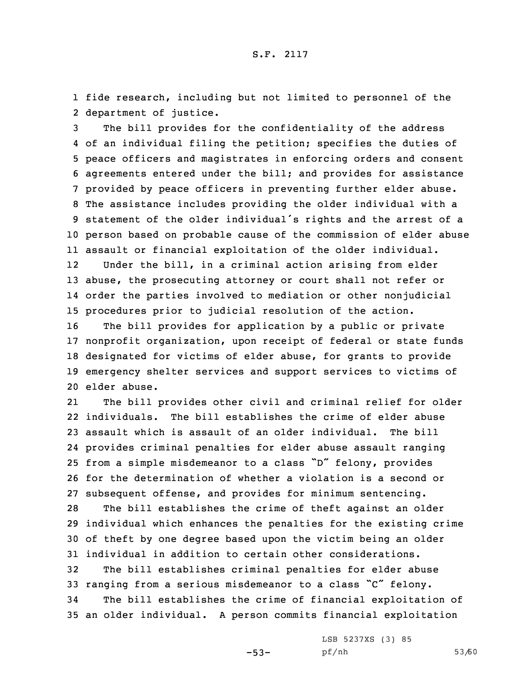1 fide research, including but not limited to personnel of the 2 department of justice.

 The bill provides for the confidentiality of the address of an individual filing the petition; specifies the duties of peace officers and magistrates in enforcing orders and consent agreements entered under the bill; and provides for assistance provided by peace officers in preventing further elder abuse. The assistance includes providing the older individual with <sup>a</sup> statement of the older individual's rights and the arrest of <sup>a</sup> person based on probable cause of the commission of elder abuse assault or financial exploitation of the older individual. 12 Under the bill, in <sup>a</sup> criminal action arising from elder abuse, the prosecuting attorney or court shall not refer or order the parties involved to mediation or other nonjudicial procedures prior to judicial resolution of the action.

 The bill provides for application by <sup>a</sup> public or private nonprofit organization, upon receipt of federal or state funds designated for victims of elder abuse, for grants to provide emergency shelter services and support services to victims of elder abuse.

21 The bill provides other civil and criminal relief for older individuals. The bill establishes the crime of elder abuse assault which is assault of an older individual. The bill provides criminal penalties for elder abuse assault ranging from <sup>a</sup> simple misdemeanor to <sup>a</sup> class "D" felony, provides for the determination of whether <sup>a</sup> violation is <sup>a</sup> second or subsequent offense, and provides for minimum sentencing.

 The bill establishes the crime of theft against an older individual which enhances the penalties for the existing crime of theft by one degree based upon the victim being an older individual in addition to certain other considerations.

32 The bill establishes criminal penalties for elder abuse <sup>33</sup> ranging from <sup>a</sup> serious misdemeanor to <sup>a</sup> class "C" felony.

34 The bill establishes the crime of financial exploitation of 35 an older individual. <sup>A</sup> person commits financial exploitation

 $-53-$ 

LSB 5237XS (3) 85 pf/nh 53/60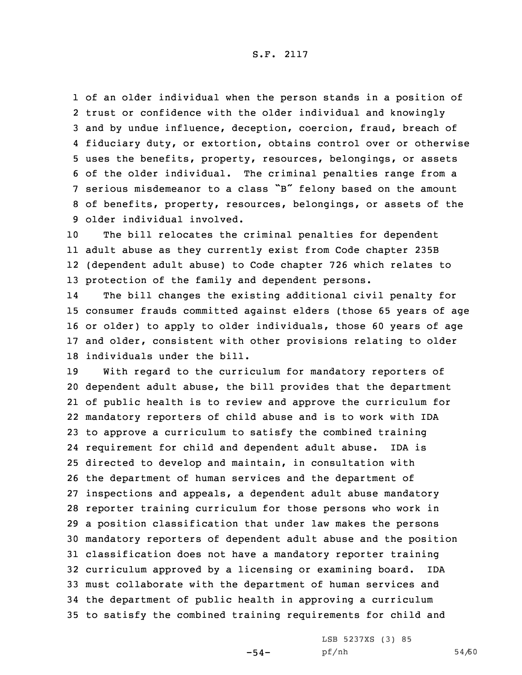of an older individual when the person stands in <sup>a</sup> position of trust or confidence with the older individual and knowingly and by undue influence, deception, coercion, fraud, breach of fiduciary duty, or extortion, obtains control over or otherwise uses the benefits, property, resources, belongings, or assets of the older individual. The criminal penalties range from <sup>a</sup> serious misdemeanor to <sup>a</sup> class "B" felony based on the amount of benefits, property, resources, belongings, or assets of the older individual involved.

 The bill relocates the criminal penalties for dependent adult abuse as they currently exist from Code chapter 235B (dependent adult abuse) to Code chapter 726 which relates to protection of the family and dependent persons.

14 The bill changes the existing additional civil penalty for consumer frauds committed against elders (those 65 years of age or older) to apply to older individuals, those 60 years of age and older, consistent with other provisions relating to older individuals under the bill.

 With regard to the curriculum for mandatory reporters of dependent adult abuse, the bill provides that the department of public health is to review and approve the curriculum for mandatory reporters of child abuse and is to work with IDA to approve <sup>a</sup> curriculum to satisfy the combined training requirement for child and dependent adult abuse. IDA is directed to develop and maintain, in consultation with the department of human services and the department of inspections and appeals, <sup>a</sup> dependent adult abuse mandatory reporter training curriculum for those persons who work in <sup>a</sup> position classification that under law makes the persons mandatory reporters of dependent adult abuse and the position classification does not have <sup>a</sup> mandatory reporter training curriculum approved by <sup>a</sup> licensing or examining board. IDA must collaborate with the department of human services and the department of public health in approving <sup>a</sup> curriculum to satisfy the combined training requirements for child and

 $-54-$ 

LSB 5237XS (3) 85 pf/nh 54/60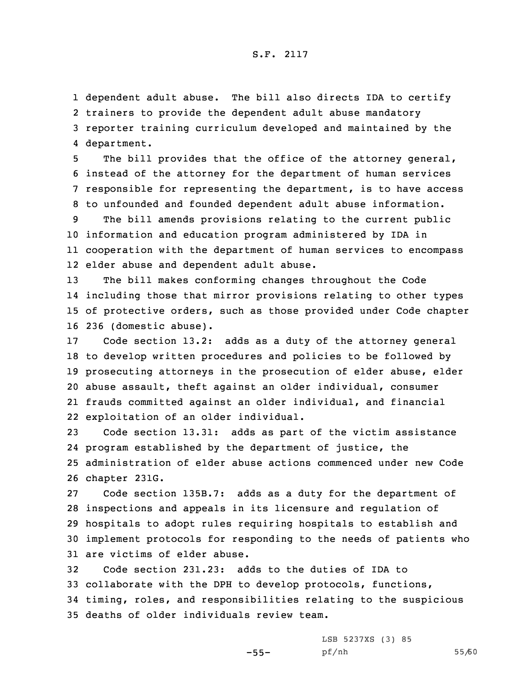dependent adult abuse. The bill also directs IDA to certify trainers to provide the dependent adult abuse mandatory reporter training curriculum developed and maintained by the department.

 The bill provides that the office of the attorney general, instead of the attorney for the department of human services responsible for representing the department, is to have access to unfounded and founded dependent adult abuse information.

 The bill amends provisions relating to the current public information and education program administered by IDA in cooperation with the department of human services to encompass elder abuse and dependent adult abuse.

 The bill makes conforming changes throughout the Code including those that mirror provisions relating to other types of protective orders, such as those provided under Code chapter 236 (domestic abuse).

 Code section 13.2: adds as <sup>a</sup> duty of the attorney general to develop written procedures and policies to be followed by prosecuting attorneys in the prosecution of elder abuse, elder abuse assault, theft against an older individual, consumer frauds committed against an older individual, and financial exploitation of an older individual.

 Code section 13.31: adds as part of the victim assistance program established by the department of justice, the administration of elder abuse actions commenced under new Code chapter 231G.

 Code section 135B.7: adds as <sup>a</sup> duty for the department of inspections and appeals in its licensure and regulation of hospitals to adopt rules requiring hospitals to establish and implement protocols for responding to the needs of patients who are victims of elder abuse.

 Code section 231.23: adds to the duties of IDA to collaborate with the DPH to develop protocols, functions, timing, roles, and responsibilities relating to the suspicious deaths of older individuals review team.

-55-

LSB 5237XS (3) 85 pf/nh 55/60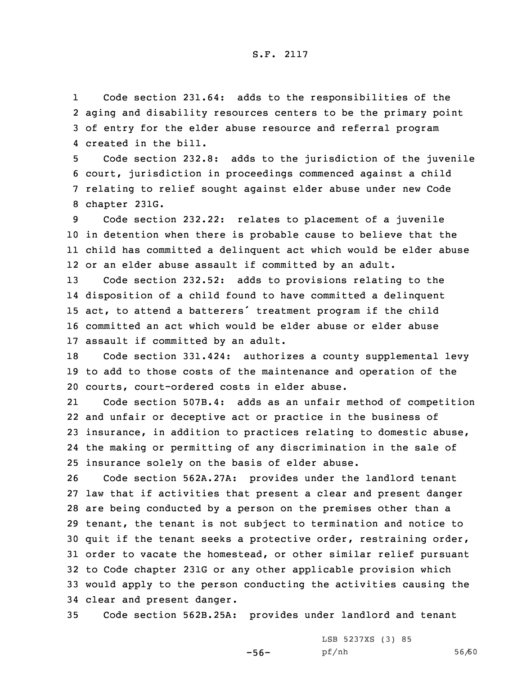1 Code section 231.64: adds to the responsibilities of the 2 aging and disability resources centers to be the primary point 3 of entry for the elder abuse resource and referral program 4 created in the bill.

 Code section 232.8: adds to the jurisdiction of the juvenile court, jurisdiction in proceedings commenced against <sup>a</sup> child relating to relief sought against elder abuse under new Code chapter 231G.

 Code section 232.22: relates to placement of <sup>a</sup> juvenile in detention when there is probable cause to believe that the child has committed <sup>a</sup> delinquent act which would be elder abuse or an elder abuse assault if committed by an adult.

 Code section 232.52: adds to provisions relating to the disposition of <sup>a</sup> child found to have committed <sup>a</sup> delinquent act, to attend <sup>a</sup> batterers' treatment program if the child committed an act which would be elder abuse or elder abuse assault if committed by an adult.

18 Code section 331.424: authorizes <sup>a</sup> county supplemental levy 19 to add to those costs of the maintenance and operation of the 20 courts, court-ordered costs in elder abuse.

21 Code section 507B.4: adds as an unfair method of competition and unfair or deceptive act or practice in the business of insurance, in addition to practices relating to domestic abuse, the making or permitting of any discrimination in the sale of insurance solely on the basis of elder abuse.

 Code section 562A.27A: provides under the landlord tenant law that if activities that present <sup>a</sup> clear and present danger are being conducted by <sup>a</sup> person on the premises other than <sup>a</sup> tenant, the tenant is not subject to termination and notice to quit if the tenant seeks <sup>a</sup> protective order, restraining order, order to vacate the homestead, or other similar relief pursuant to Code chapter 231G or any other applicable provision which would apply to the person conducting the activities causing the clear and present danger.

35 Code section 562B.25A: provides under landlord and tenant

-56-

LSB 5237XS (3) 85 pf/nh 56/60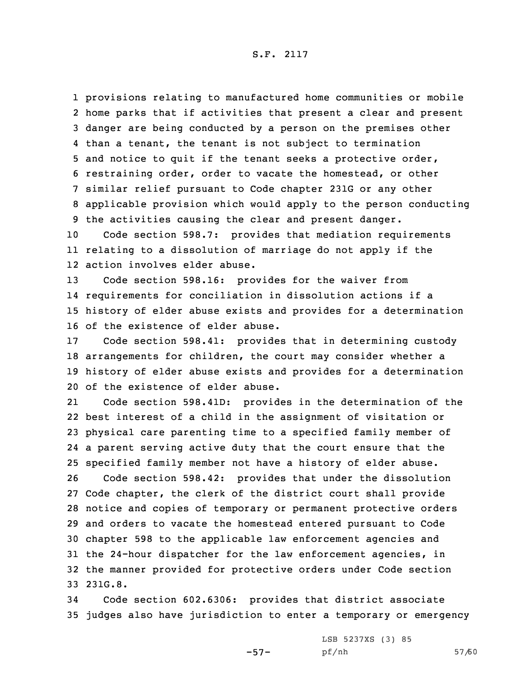provisions relating to manufactured home communities or mobile home parks that if activities that present <sup>a</sup> clear and present danger are being conducted by <sup>a</sup> person on the premises other than <sup>a</sup> tenant, the tenant is not subject to termination and notice to quit if the tenant seeks <sup>a</sup> protective order, restraining order, order to vacate the homestead, or other similar relief pursuant to Code chapter 231G or any other applicable provision which would apply to the person conducting the activities causing the clear and present danger.

10 Code section 598.7: provides that mediation requirements 11 relating to <sup>a</sup> dissolution of marriage do not apply if the 12 action involves elder abuse.

 Code section 598.16: provides for the waiver from requirements for conciliation in dissolution actions if <sup>a</sup> history of elder abuse exists and provides for <sup>a</sup> determination of the existence of elder abuse.

 Code section 598.41: provides that in determining custody arrangements for children, the court may consider whether <sup>a</sup> history of elder abuse exists and provides for <sup>a</sup> determination of the existence of elder abuse.

21 Code section 598.41D: provides in the determination of the best interest of <sup>a</sup> child in the assignment of visitation or physical care parenting time to <sup>a</sup> specified family member of <sup>a</sup> parent serving active duty that the court ensure that the specified family member not have <sup>a</sup> history of elder abuse.

 Code section 598.42: provides that under the dissolution Code chapter, the clerk of the district court shall provide notice and copies of temporary or permanent protective orders and orders to vacate the homestead entered pursuant to Code chapter 598 to the applicable law enforcement agencies and the 24-hour dispatcher for the law enforcement agencies, in the manner provided for protective orders under Code section 33 231G.8.

34 Code section 602.6306: provides that district associate 35 judges also have jurisdiction to enter <sup>a</sup> temporary or emergency

-57-

LSB 5237XS (3) 85 pf/nh 57/60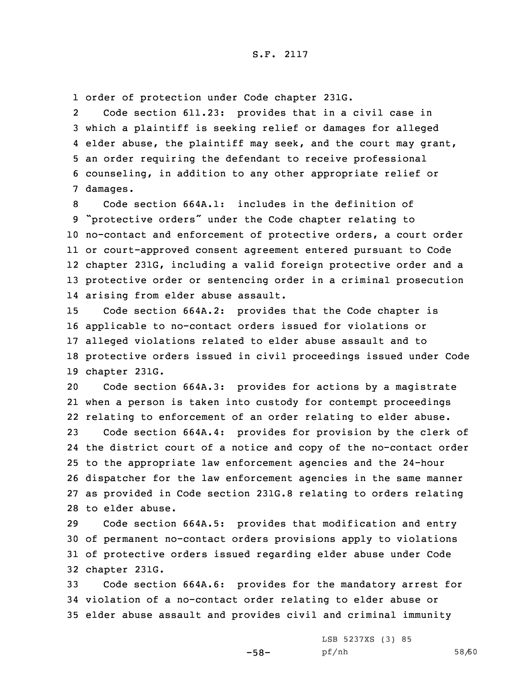1 order of protection under Code chapter 231G.

2 Code section 611.23: provides that in <sup>a</sup> civil case in 3 which <sup>a</sup> plaintiff is seeking relief or damages for alleged 4 elder abuse, the plaintiff may seek, and the court may grant, 5 an order requiring the defendant to receive professional 6 counseling, in addition to any other appropriate relief or 7 damages.

 Code section 664A.1: includes in the definition of "protective orders" under the Code chapter relating to no-contact and enforcement of protective orders, <sup>a</sup> court order or court-approved consent agreement entered pursuant to Code chapter 231G, including <sup>a</sup> valid foreign protective order and <sup>a</sup> protective order or sentencing order in <sup>a</sup> criminal prosecution arising from elder abuse assault.

 Code section 664A.2: provides that the Code chapter is applicable to no-contact orders issued for violations or alleged violations related to elder abuse assault and to protective orders issued in civil proceedings issued under Code chapter 231G.

20 Code section 664A.3: provides for actions by <sup>a</sup> magistrate 21 when <sup>a</sup> person is taken into custody for contempt proceedings 22 relating to enforcement of an order relating to elder abuse.

 Code section 664A.4: provides for provision by the clerk of the district court of <sup>a</sup> notice and copy of the no-contact order to the appropriate law enforcement agencies and the 24-hour dispatcher for the law enforcement agencies in the same manner as provided in Code section 231G.8 relating to orders relating to elder abuse.

 Code section 664A.5: provides that modification and entry of permanent no-contact orders provisions apply to violations of protective orders issued regarding elder abuse under Code chapter 231G.

33 Code section 664A.6: provides for the mandatory arrest for 34 violation of <sup>a</sup> no-contact order relating to elder abuse or 35 elder abuse assault and provides civil and criminal immunity

-58-

LSB 5237XS (3) 85 pf/nh 58/60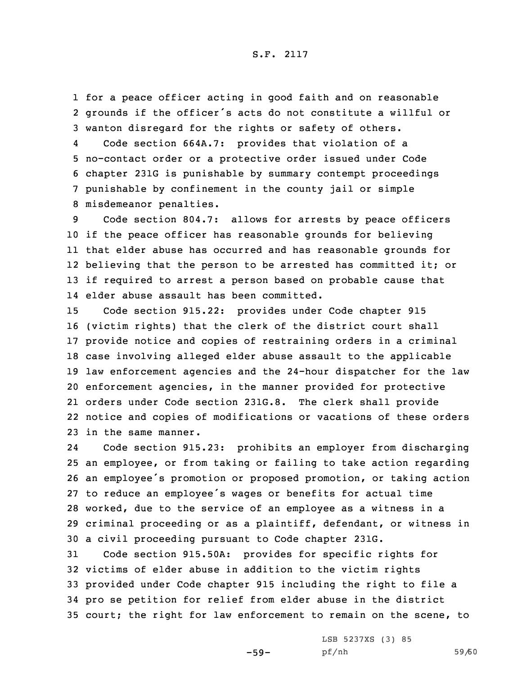1 for <sup>a</sup> peace officer acting in good faith and on reasonable 2 grounds if the officer's acts do not constitute <sup>a</sup> willful or 3 wanton disregard for the rights or safety of others.

4 Code section 664A.7: provides that violation of <sup>a</sup> no-contact order or <sup>a</sup> protective order issued under Code chapter 231G is punishable by summary contempt proceedings punishable by confinement in the county jail or simple misdemeanor penalties.

 Code section 804.7: allows for arrests by peace officers if the peace officer has reasonable grounds for believing that elder abuse has occurred and has reasonable grounds for believing that the person to be arrested has committed it; or if required to arrest <sup>a</sup> person based on probable cause that elder abuse assault has been committed.

 Code section 915.22: provides under Code chapter 915 (victim rights) that the clerk of the district court shall provide notice and copies of restraining orders in <sup>a</sup> criminal case involving alleged elder abuse assault to the applicable law enforcement agencies and the 24-hour dispatcher for the law enforcement agencies, in the manner provided for protective orders under Code section 231G.8. The clerk shall provide notice and copies of modifications or vacations of these orders in the same manner.

24 Code section 915.23: prohibits an employer from discharging an employee, or from taking or failing to take action regarding an employee's promotion or proposed promotion, or taking action to reduce an employee's wages or benefits for actual time worked, due to the service of an employee as <sup>a</sup> witness in <sup>a</sup> criminal proceeding or as <sup>a</sup> plaintiff, defendant, or witness in <sup>a</sup> civil proceeding pursuant to Code chapter 231G.

 Code section 915.50A: provides for specific rights for victims of elder abuse in addition to the victim rights provided under Code chapter 915 including the right to file <sup>a</sup> pro se petition for relief from elder abuse in the district court; the right for law enforcement to remain on the scene, to

-59-

LSB 5237XS (3) 85 pf/nh 59/60